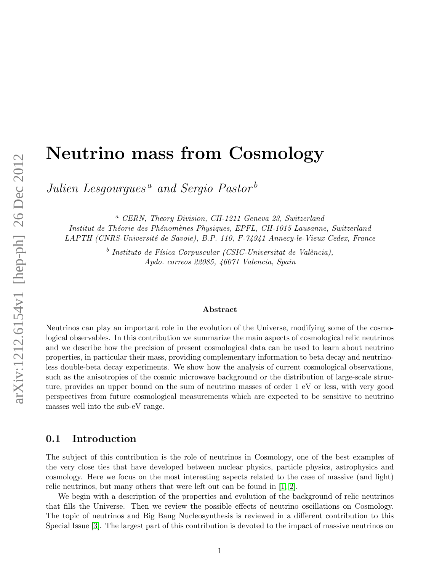## Neutrino mass from Cosmology

Julien Lesgourgues<sup>*a*</sup> and Sergio Pastor<sup>b</sup>

<sup>a</sup> CERN, Theory Division, CH-1211 Geneva 23, Switzerland Institut de Théorie des Phénomènes Physiques, EPFL, CH-1015 Lausanne, Switzerland LAPTH (CNRS-Université de Savoie), B.P. 110, F-74941 Annecy-le-Vieux Cedex, France

> <sup>b</sup> Instituto de Física Corpuscular (CSIC-Universitat de València), Apdo. correos 22085, 46071 Valencia, Spain

#### Abstract

Neutrinos can play an important role in the evolution of the Universe, modifying some of the cosmological observables. In this contribution we summarize the main aspects of cosmological relic neutrinos and we describe how the precision of present cosmological data can be used to learn about neutrino properties, in particular their mass, providing complementary information to beta decay and neutrinoless double-beta decay experiments. We show how the analysis of current cosmological observations, such as the anisotropies of the cosmic microwave background or the distribution of large-scale structure, provides an upper bound on the sum of neutrino masses of order 1 eV or less, with very good perspectives from future cosmological measurements which are expected to be sensitive to neutrino masses well into the sub-eV range.

## 0.1 Introduction

The subject of this contribution is the role of neutrinos in Cosmology, one of the best examples of the very close ties that have developed between nuclear physics, particle physics, astrophysics and cosmology. Here we focus on the most interesting aspects related to the case of massive (and light) relic neutrinos, but many others that were left out can be found in [\[1,](#page-29-0) [2\]](#page-29-1).

We begin with a description of the properties and evolution of the background of relic neutrinos that fills the Universe. Then we review the possible effects of neutrino oscillations on Cosmology. The topic of neutrinos and Big Bang Nucleosynthesis is reviewed in a different contribution to this Special Issue [\[3\]](#page-29-2). The largest part of this contribution is devoted to the impact of massive neutrinos on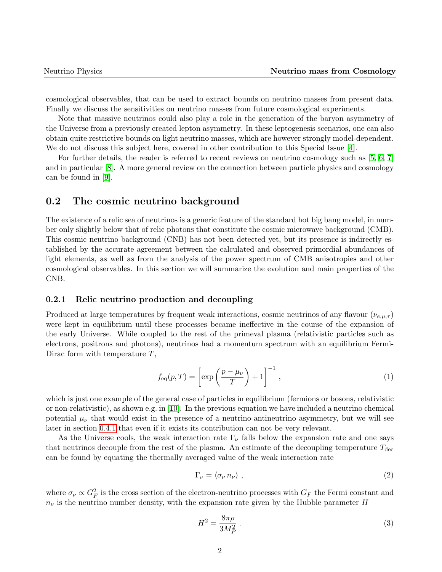cosmological observables, that can be used to extract bounds on neutrino masses from present data. Finally we discuss the sensitivities on neutrino masses from future cosmological experiments.

Note that massive neutrinos could also play a role in the generation of the baryon asymmetry of the Universe from a previously created lepton asymmetry. In these leptogenesis scenarios, one can also obtain quite restrictive bounds on light neutrino masses, which are however strongly model-dependent. We do not discuss this subject here, covered in other contribution to this Special Issue [\[4\]](#page-29-3).

For further details, the reader is referred to recent reviews on neutrino cosmology such as [\[5,](#page-29-4) [6,](#page-29-5) [7\]](#page-29-6) and in particular [\[8\]](#page-29-7). A more general review on the connection between particle physics and cosmology can be found in [\[9\]](#page-29-8).

## 0.2 The cosmic neutrino background

The existence of a relic sea of neutrinos is a generic feature of the standard hot big bang model, in number only slightly below that of relic photons that constitute the cosmic microwave background (CMB). This cosmic neutrino background (CNB) has not been detected yet, but its presence is indirectly established by the accurate agreement between the calculated and observed primordial abundances of light elements, as well as from the analysis of the power spectrum of CMB anisotropies and other cosmological observables. In this section we will summarize the evolution and main properties of the CNB.

#### <span id="page-1-1"></span>0.2.1 Relic neutrino production and decoupling

Produced at large temperatures by frequent weak interactions, cosmic neutrinos of any flavour ( $\nu_{e,\mu,\tau}$ ) were kept in equilibrium until these processes became ineffective in the course of the expansion of the early Universe. While coupled to the rest of the primeval plasma (relativistic particles such as electrons, positrons and photons), neutrinos had a momentum spectrum with an equilibrium Fermi-Dirac form with temperature  $T$ ,

<span id="page-1-0"></span>
$$
f_{\text{eq}}(p,T) = \left[ \exp\left(\frac{p-\mu_{\nu}}{T}\right) + 1 \right]^{-1}, \qquad (1)
$$

which is just one example of the general case of particles in equilibrium (fermions or bosons, relativistic or non-relativistic), as shown e.g. in [\[10\]](#page-29-9). In the previous equation we have included a neutrino chemical potential  $\mu_{\nu}$  that would exist in the presence of a neutrino-antineutrino asymmetry, but we will see later in section [0.4.1](#page-7-0) that even if it exists its contribution can not be very relevant.

As the Universe cools, the weak interaction rate  $\Gamma_{\nu}$  falls below the expansion rate and one says that neutrinos decouple from the rest of the plasma. An estimate of the decoupling temperature  $T_{\text{dec}}$ can be found by equating the thermally averaged value of the weak interaction rate

$$
\Gamma_{\nu} = \langle \sigma_{\nu} \, n_{\nu} \rangle \tag{2}
$$

where  $\sigma_{\nu} \propto G_F^2$  is the cross section of the electron-neutrino processes with  $G_F$  the Fermi constant and  $n_{\nu}$  is the neutrino number density, with the expansion rate given by the Hubble parameter H

$$
H^2 = \frac{8\pi\rho}{3M_P^2} \tag{3}
$$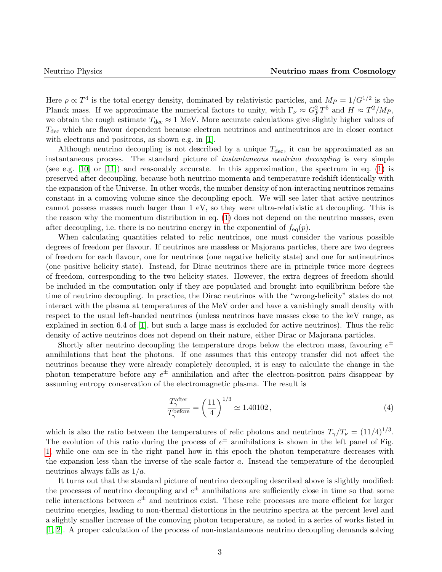Here  $\rho \propto T^4$  is the total energy density, dominated by relativistic particles, and  $M_P = 1/G^{1/2}$  is the Planck mass. If we approximate the numerical factors to unity, with  $\Gamma_{\nu} \approx G_F^2 T^5$  and  $H \approx T^2/M_P$ , we obtain the rough estimate  $T_{\text{dec}} \approx 1 \text{ MeV}$ . More accurate calculations give slightly higher values of  $T_{\text{dec}}$  which are flavour dependent because electron neutrinos and antineutrinos are in closer contact with electrons and positrons, as shown e.g. in [\[1\]](#page-29-0).

Although neutrino decoupling is not described by a unique  $T_{\text{dec}}$ , it can be approximated as an instantaneous process. The standard picture of instantaneous neutrino decoupling is very simple (see e.g. [\[10\]](#page-29-9) or [\[11\]](#page-29-10)) and reasonably accurate. In this approximation, the spectrum in eq. [\(1\)](#page-1-0) is preserved after decoupling, because both neutrino momenta and temperature redshift identically with the expansion of the Universe. In other words, the number density of non-interacting neutrinos remains constant in a comoving volume since the decoupling epoch. We will see later that active neutrinos cannot possess masses much larger than 1 eV, so they were ultra-relativistic at decoupling. This is the reason why the momentum distribution in eq. [\(1\)](#page-1-0) does not depend on the neutrino masses, even after decoupling, i.e. there is no neutrino energy in the exponential of  $f_{\text{eq}}(p)$ .

When calculating quantities related to relic neutrinos, one must consider the various possible degrees of freedom per flavour. If neutrinos are massless or Majorana particles, there are two degrees of freedom for each flavour, one for neutrinos (one negative helicity state) and one for antineutrinos (one positive helicity state). Instead, for Dirac neutrinos there are in principle twice more degrees of freedom, corresponding to the two helicity states. However, the extra degrees of freedom should be included in the computation only if they are populated and brought into equilibrium before the time of neutrino decoupling. In practice, the Dirac neutrinos with the "wrong-helicity" states do not interact with the plasma at temperatures of the MeV order and have a vanishingly small density with respect to the usual left-handed neutrinos (unless neutrinos have masses close to the keV range, as explained in section 6.4 of [\[1\]](#page-29-0), but such a large mass is excluded for active neutrinos). Thus the relic density of active neutrinos does not depend on their nature, either Dirac or Majorana particles.

Shortly after neutrino decoupling the temperature drops below the electron mass, favouring  $e^{\pm}$ annihilations that heat the photons. If one assumes that this entropy transfer did not affect the neutrinos because they were already completely decoupled, it is easy to calculate the change in the photon temperature before any  $e^{\pm}$  annihilation and after the electron-positron pairs disappear by assuming entropy conservation of the electromagnetic plasma. The result is

$$
\frac{T_{\gamma}^{\text{after}}}{T_{\gamma}^{\text{before}}} = \left(\frac{11}{4}\right)^{1/3} \simeq 1.40102\,,\tag{4}
$$

which is also the ratio between the temperatures of relic photons and neutrinos  $T_{\gamma}/T_{\nu} = (11/4)^{1/3}$ . The evolution of this ratio during the process of  $e^{\pm}$  annihilations is shown in the left panel of Fig. [1,](#page-3-0) while one can see in the right panel how in this epoch the photon temperature decreases with the expansion less than the inverse of the scale factor  $a$ . Instead the temperature of the decoupled neutrinos always falls as  $1/a$ .

It turns out that the standard picture of neutrino decoupling described above is slightly modified: the processes of neutrino decoupling and  $e^{\pm}$  annihilations are sufficiently close in time so that some relic interactions between  $e^{\pm}$  and neutrinos exist. These relic processes are more efficient for larger neutrino energies, leading to non-thermal distortions in the neutrino spectra at the percent level and a slightly smaller increase of the comoving photon temperature, as noted in a series of works listed in [\[1,](#page-29-0) [2\]](#page-29-1). A proper calculation of the process of non-instantaneous neutrino decoupling demands solving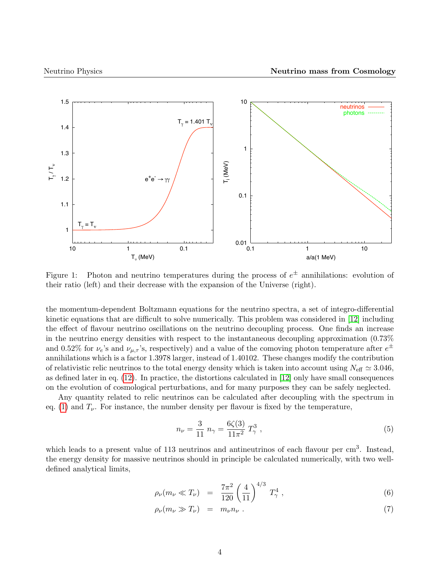

<span id="page-3-0"></span>Figure 1: Photon and neutrino temperatures during the process of  $e^{\pm}$  annihilations: evolution of their ratio (left) and their decrease with the expansion of the Universe (right).

the momentum-dependent Boltzmann equations for the neutrino spectra, a set of integro-differential kinetic equations that are difficult to solve numerically. This problem was considered in [\[12\]](#page-29-11) including the effect of flavour neutrino oscillations on the neutrino decoupling process. One finds an increase in the neutrino energy densities with respect to the instantaneous decoupling approximation (0.73% and 0.52% for  $\nu_e$ 's and  $\nu_{\mu,\tau}$ 's, respectively) and a value of the comoving photon temperature after  $e^{\pm}$ annihilations which is a factor 1.3978 larger, instead of 1.40102. These changes modify the contribution of relativistic relic neutrinos to the total energy density which is taken into account using  $N_{\text{eff}} \simeq 3.046$ , as defined later in eq. [\(12\)](#page-5-0). In practice, the distortions calculated in [\[12\]](#page-29-11) only have small consequences on the evolution of cosmological perturbations, and for many purposes they can be safely neglected.

Any quantity related to relic neutrinos can be calculated after decoupling with the spectrum in eq. [\(1\)](#page-1-0) and  $T_{\nu}$ . For instance, the number density per flavour is fixed by the temperature,

<span id="page-3-1"></span>
$$
n_{\nu} = \frac{3}{11} n_{\gamma} = \frac{6\zeta(3)}{11\pi^2} T_{\gamma}^3 , \qquad (5)
$$

which leads to a present value of 113 neutrinos and antineutrinos of each flavour per  $\text{cm}^3$ . Instead, the energy density for massive neutrinos should in principle be calculated numerically, with two welldefined analytical limits,

$$
\rho_{\nu}(m_{\nu} \ll T_{\nu}) = \frac{7\pi^2}{120} \left(\frac{4}{11}\right)^{4/3} T_{\gamma}^4 , \qquad (6)
$$

$$
\rho_{\nu}(m_{\nu} \gg T_{\nu}) = m_{\nu} n_{\nu} . \tag{7}
$$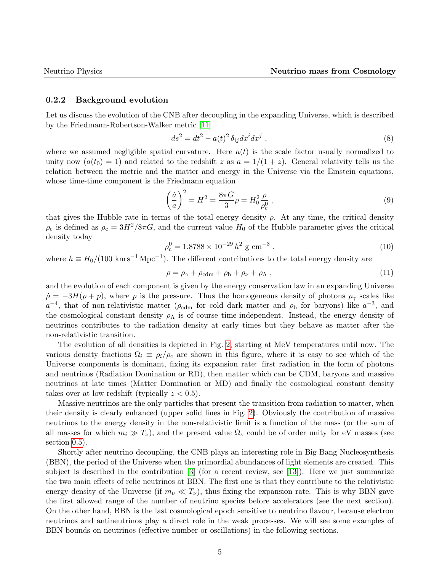#### 0.2.2 Background evolution

Let us discuss the evolution of the CNB after decoupling in the expanding Universe, which is described by the Friedmann-Robertson-Walker metric [\[11\]](#page-29-10)

$$
ds^2 = dt^2 - a(t)^2 \delta_{ij} dx^i dx^j , \qquad (8)
$$

where we assumed negligible spatial curvature. Here  $a(t)$  is the scale factor usually normalized to unity now  $(a(t_0) = 1)$  and related to the redshift z as  $a = 1/(1 + z)$ . General relativity tells us the relation between the metric and the matter and energy in the Universe via the Einstein equations, whose time-time component is the Friedmann equation

$$
\left(\frac{\dot{a}}{a}\right)^2 = H^2 = \frac{8\pi G}{3}\rho = H_0^2 \frac{\rho}{\rho_c^0},\qquad(9)
$$

that gives the Hubble rate in terms of the total energy density  $\rho$ . At any time, the critical density  $\rho_c$  is defined as  $\rho_c = 3H^2/8\pi G$ , and the current value  $H_0$  of the Hubble parameter gives the critical density today

<span id="page-4-0"></span>
$$
\rho_c^0 = 1.8788 \times 10^{-29} h^2 \text{ g cm}^{-3} . \qquad (10)
$$

where  $h \equiv H_0/(100 \text{ km s}^{-1} \text{ Mpc}^{-1})$ . The different contributions to the total energy density are

$$
\rho = \rho_{\gamma} + \rho_{\text{cdm}} + \rho_{\text{b}} + \rho_{\nu} + \rho_{\Lambda} \,, \tag{11}
$$

and the evolution of each component is given by the energy conservation law in an expanding Universe  $\dot{\rho} = -3H(\rho + p)$ , where p is the pressure. Thus the homogeneous density of photons  $\rho_{\gamma}$  scales like  $a^{-4}$ , that of non-relativistic matter ( $\rho_{\text{cdm}}$  for cold dark matter and  $\rho_{\text{b}}$  for baryons) like  $a^{-3}$ , and the cosmological constant density  $\rho_{\Lambda}$  is of course time-independent. Instead, the energy density of neutrinos contributes to the radiation density at early times but they behave as matter after the non-relativistic transition.

The evolution of all densities is depicted in Fig. [2,](#page-5-1) starting at MeV temperatures until now. The various density fractions  $\Omega_i \equiv \rho_i/\rho_c$  are shown in this figure, where it is easy to see which of the Universe components is dominant, fixing its expansion rate: first radiation in the form of photons and neutrinos (Radiation Domination or RD), then matter which can be CDM, baryons and massive neutrinos at late times (Matter Domination or MD) and finally the cosmological constant density takes over at low redshift (typically  $z < 0.5$ ).

Massive neutrinos are the only particles that present the transition from radiation to matter, when their density is clearly enhanced (upper solid lines in Fig. [2\)](#page-5-1). Obviously the contribution of massive neutrinos to the energy density in the non-relativistic limit is a function of the mass (or the sum of all masses for which  $m_i \gg T_\nu$ ), and the present value  $\Omega_\nu$  could be of order unity for eV masses (see section [0.5\)](#page-12-0).

Shortly after neutrino decoupling, the CNB plays an interesting role in Big Bang Nucleosynthesis (BBN), the period of the Universe when the primordial abundances of light elements are created. This subject is described in the contribution [\[3\]](#page-29-2) (for a recent review, see [\[13\]](#page-29-12)). Here we just summarize the two main effects of relic neutrinos at BBN. The first one is that they contribute to the relativistic energy density of the Universe (if  $m_{\nu} \ll T_{\nu}$ ), thus fixing the expansion rate. This is why BBN gave the first allowed range of the number of neutrino species before accelerators (see the next section). On the other hand, BBN is the last cosmological epoch sensitive to neutrino flavour, because electron neutrinos and antineutrinos play a direct role in the weak processes. We will see some examples of BBN bounds on neutrinos (effective number or oscillations) in the following sections.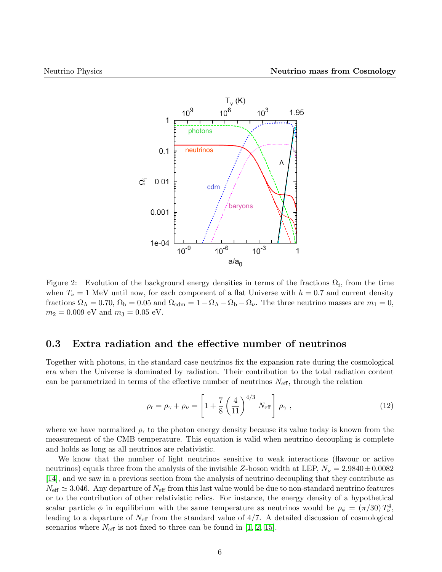

<span id="page-5-1"></span>Figure 2: Evolution of the background energy densities in terms of the fractions  $\Omega_i$ , from the time when  $T_{\nu} = 1$  MeV until now, for each component of a flat Universe with  $h = 0.7$  and current density fractions  $\Omega_{\Lambda} = 0.70$ ,  $\Omega_{\rm b} = 0.05$  and  $\Omega_{\rm cdm} = 1 - \Omega_{\Lambda} - \Omega_{\rm b} - \Omega_{\nu}$ . The three neutrino masses are  $m_1 = 0$ ,  $m_2 = 0.009$  eV and  $m_3 = 0.05$  eV.

## <span id="page-5-2"></span>0.3 Extra radiation and the effective number of neutrinos

Together with photons, in the standard case neutrinos fix the expansion rate during the cosmological era when the Universe is dominated by radiation. Their contribution to the total radiation content can be parametrized in terms of the effective number of neutrinos  $N_{\text{eff}}$ , through the relation

<span id="page-5-0"></span>
$$
\rho_{\rm r} = \rho_{\gamma} + \rho_{\nu} = \left[1 + \frac{7}{8} \left(\frac{4}{11}\right)^{4/3} N_{\rm eff}\right] \rho_{\gamma} , \qquad (12)
$$

where we have normalized  $\rho_r$  to the photon energy density because its value today is known from the measurement of the CMB temperature. This equation is valid when neutrino decoupling is complete and holds as long as all neutrinos are relativistic.

We know that the number of light neutrinos sensitive to weak interactions (flavour or active neutrinos) equals three from the analysis of the invisible Z-boson width at LEP,  $N_{\nu} = 2.9840 \pm 0.0082$ [\[14\]](#page-29-13), and we saw in a previous section from the analysis of neutrino decoupling that they contribute as  $N_{\text{eff}} \simeq 3.046$ . Any departure of  $N_{\text{eff}}$  from this last value would be due to non-standard neutrino features or to the contribution of other relativistic relics. For instance, the energy density of a hypothetical scalar particle  $\phi$  in equilibrium with the same temperature as neutrinos would be  $\rho_{\phi} = (\pi/30) T_{\nu}^4$ , leading to a departure of  $N_{\text{eff}}$  from the standard value of 4/7. A detailed discussion of cosmological scenarios where  $N_{\text{eff}}$  is not fixed to three can be found in [\[1,](#page-29-0) [2,](#page-29-1) [15\]](#page-29-14).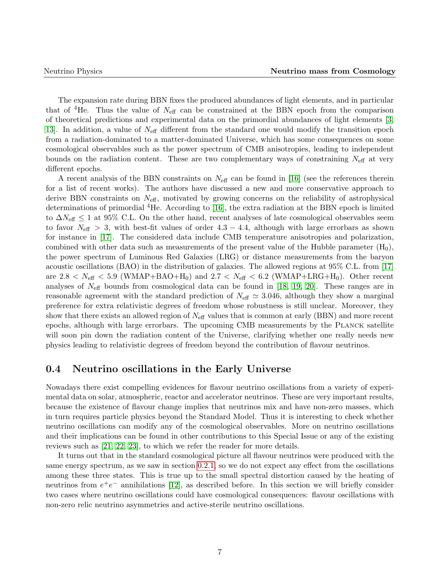The expansion rate during BBN fixes the produced abundances of light elements, and in particular that of  ${}^{4}$ He. Thus the value of  $N_{\text{eff}}$  can be constrained at the BBN epoch from the comparison of theoretical predictions and experimental data on the primordial abundances of light elements [\[3,](#page-29-2) [13\]](#page-29-12). In addition, a value of  $N_{\text{eff}}$  different from the standard one would modify the transition epoch from a radiation-dominated to a matter-dominated Universe, which has some consequences on some cosmological observables such as the power spectrum of CMB anisotropies, leading to independent bounds on the radiation content. These are two complementary ways of constraining  $N_{\text{eff}}$  at very different epochs.

A recent analysis of the BBN constraints on  $N_{\text{eff}}$  can be found in [\[16\]](#page-30-0) (see the references therein for a list of recent works). The authors have discussed a new and more conservative approach to derive BBN constraints on  $N_{\text{eff}}$ , motivated by growing concerns on the reliability of astrophysical determinations of primordial <sup>4</sup>He. According to [\[16\]](#page-30-0), the extra radiation at the BBN epoch is limited to  $\Delta N_{\text{eff}} \leq 1$  at 95% C.L. On the other hand, recent analyses of late cosmological observables seem to favor  $N_{\text{eff}} > 3$ , with best-fit values of order 4.3 – 4.4, although with large errorbars as shown for instance in [\[17\]](#page-30-1). The considered data include CMB temperature anisotropies and polarization, combined with other data such as measurements of the present value of the Hubble parameter  $(H_0)$ , the power spectrum of Luminous Red Galaxies (LRG) or distance measurements from the baryon acoustic oscillations (BAO) in the distribution of galaxies. The allowed regions at 95% C.L. from [\[17\]](#page-30-1) are  $2.8 < N_{\text{eff}} < 5.9$  (WMAP+BAO+H<sub>0</sub>) and  $2.7 < N_{\text{eff}} < 6.2$  (WMAP+LRG+H<sub>0</sub>). Other recent analyses of  $N_{\text{eff}}$  bounds from cosmological data can be found in [\[18,](#page-30-2) [19,](#page-30-3) [20\]](#page-30-4). These ranges are in reasonable agreement with the standard prediction of  $N_{\text{eff}} \simeq 3.046$ , although they show a marginal preference for extra relativistic degrees of freedom whose robustness is still unclear. Moreover, they show that there exists an allowed region of  $N_{\text{eff}}$  values that is common at early (BBN) and more recent epochs, although with large errorbars. The upcoming CMB measurements by the Planck satellite will soon pin down the radiation content of the Universe, clarifying whether one really needs new physics leading to relativistic degrees of freedom beyond the contribution of flavour neutrinos.

## 0.4 Neutrino oscillations in the Early Universe

Nowadays there exist compelling evidences for flavour neutrino oscillations from a variety of experimental data on solar, atmospheric, reactor and accelerator neutrinos. These are very important results, because the existence of flavour change implies that neutrinos mix and have non-zero masses, which in turn requires particle physics beyond the Standard Model. Thus it is interesting to check whether neutrino oscillations can modify any of the cosmological observables. More on neutrino oscillations and their implications can be found in other contributions to this Special Issue or any of the existing reviews such as [\[21,](#page-30-5) [22,](#page-30-6) [23\]](#page-30-7), to which we refer the reader for more details.

It turns out that in the standard cosmological picture all flavour neutrinos were produced with the same energy spectrum, as we saw in section [0.2.1,](#page-1-1) so we do not expect any effect from the oscillations among these three states. This is true up to the small spectral distortion caused by the heating of neutrinos from  $e^+e^-$  annihilations [\[12\]](#page-29-11), as described before. In this section we will briefly consider two cases where neutrino oscillations could have cosmological consequences: flavour oscillations with non-zero relic neutrino asymmetries and active-sterile neutrino oscillations.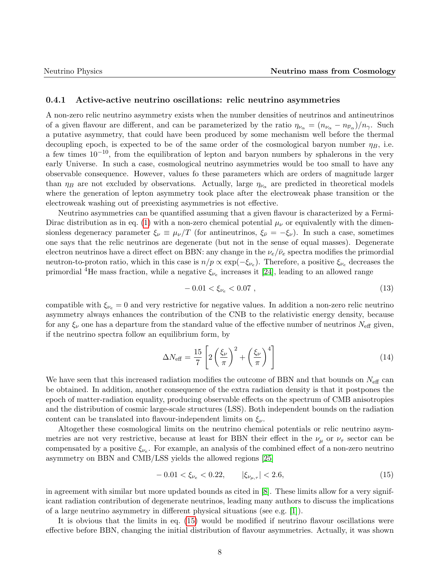#### <span id="page-7-0"></span>0.4.1 Active-active neutrino oscillations: relic neutrino asymmetries

A non-zero relic neutrino asymmetry exists when the number densities of neutrinos and antineutrinos of a given flavour are different, and can be parameterized by the ratio  $\eta_{\nu_{\alpha}} = (n_{\nu_{\alpha}} - n_{\overline{\nu}_{\alpha}})/n_{\gamma}$ . Such a putative asymmetry, that could have been produced by some mechanism well before the thermal decoupling epoch, is expected to be of the same order of the cosmological baryon number  $\eta_B$ , i.e. a few times  $10^{-10}$ , from the equilibration of lepton and baryon numbers by sphalerons in the very early Universe. In such a case, cosmological neutrino asymmetries would be too small to have any observable consequence. However, values fo these parameters which are orders of magnitude larger than  $\eta_B$  are not excluded by observations. Actually, large  $\eta_{\nu_\alpha}$  are predicted in theoretical models where the generation of lepton asymmetry took place after the electroweak phase transition or the electroweak washing out of preexisting asymmetries is not effective.

Neutrino asymmetries can be quantified assuming that a given flavour is characterized by a Fermi-Dirac distribution as in eq. [\(1\)](#page-1-0) with a non-zero chemical potential  $\mu_{\nu}$  or equivalently with the dimensionless degeneracy parameter  $\xi_{\nu} \equiv \mu_{\nu}/T$  (for antineutrinos,  $\xi_{\bar{\nu}} = -\xi_{\nu}$ ). In such a case, sometimes one says that the relic neutrinos are degenerate (but not in the sense of equal masses). Degenerate electron neutrinos have a direct effect on BBN: any change in the  $\nu_e/\bar{\nu}_e$  spectra modifies the primordial neutron-to-proton ratio, which in this case is  $n/p \propto \exp(-\xi_{\nu_e})$ . Therefore, a positive  $\xi_{\nu_e}$  decreases the primordial <sup>4</sup>He mass fraction, while a negative  $\xi_{\nu_e}$  increases it [\[24\]](#page-30-8), leading to an allowed range

<span id="page-7-2"></span>
$$
-0.01 < \xi_{\nu_e} < 0.07 \tag{13}
$$

compatible with  $\xi_{\nu_e} = 0$  and very restrictive for negative values. In addition a non-zero relic neutrino asymmetry always enhances the contribution of the CNB to the relativistic energy density, because for any  $\xi_{\nu}$  one has a departure from the standard value of the effective number of neutrinos  $N_{\text{eff}}$  given, if the neutrino spectra follow an equilibrium form, by

$$
\Delta N_{\text{eff}} = \frac{15}{7} \left[ 2 \left( \frac{\xi_{\nu}}{\pi} \right)^2 + \left( \frac{\xi_{\nu}}{\pi} \right)^4 \right]
$$
 (14)

We have seen that this increased radiation modifies the outcome of BBN and that bounds on  $N_{\text{eff}}$  can be obtained. In addition, another consequence of the extra radiation density is that it postpones the epoch of matter-radiation equality, producing observable effects on the spectrum of CMB anisotropies and the distribution of cosmic large-scale structures (LSS). Both independent bounds on the radiation content can be translated into flavour-independent limits on  $\xi_{\nu}$ .

Altogether these cosmological limits on the neutrino chemical potentials or relic neutrino asymmetries are not very restrictive, because at least for BBN their effect in the  $\nu_{\mu}$  or  $\nu_{\tau}$  sector can be compensated by a positive  $\xi_{\nu_e}$ . For example, an analysis of the combined effect of a non-zero neutrino asymmetry on BBN and CMB/LSS yields the allowed regions [\[25\]](#page-30-9)

<span id="page-7-1"></span>
$$
-0.01 < \xi_{\nu_e} < 0.22, \qquad |\xi_{\nu_{\mu,\tau}}| < 2.6, \tag{15}
$$

in agreement with similar but more updated bounds as cited in [\[8\]](#page-29-7). These limits allow for a very significant radiation contribution of degenerate neutrinos, leading many authors to discuss the implications of a large neutrino asymmetry in different physical situations (see e.g. [\[1\]](#page-29-0)).

It is obvious that the limits in eq. [\(15\)](#page-7-1) would be modified if neutrino flavour oscillations were effective before BBN, changing the initial distribution of flavour asymmetries. Actually, it was shown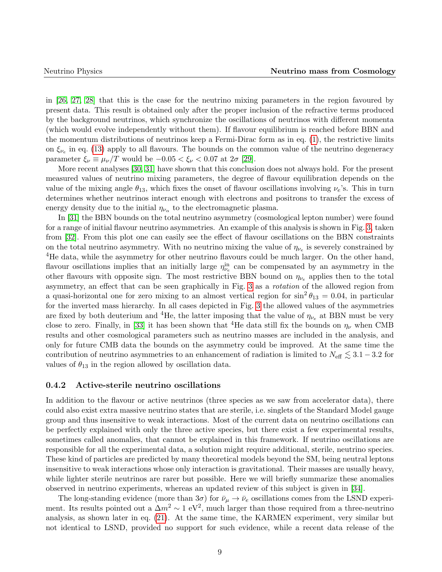in [\[26,](#page-30-10) [27,](#page-30-11) [28\]](#page-30-12) that this is the case for the neutrino mixing parameters in the region favoured by present data. This result is obtained only after the proper inclusion of the refractive terms produced by the background neutrinos, which synchronize the oscillations of neutrinos with different momenta (which would evolve independently without them). If flavour equilibrium is reached before BBN and the momentum distributions of neutrinos keep a Fermi-Dirac form as in eq. [\(1\)](#page-1-0), the restrictive limits on  $\xi_{\nu_e}$  in eq. [\(13\)](#page-7-2) apply to all flavours. The bounds on the common value of the neutrino degeneracy parameter  $\xi_{\nu} \equiv \mu_{\nu}/T$  would be  $-0.05 < \xi_{\nu} < 0.07$  at  $2\sigma$  [\[29\]](#page-30-13).

More recent analyses [\[30,](#page-30-14) [31\]](#page-30-15) have shown that this conclusion does not always hold. For the present measured values of neutrino mixing parameters, the degree of flavour equilibration depends on the value of the mixing angle  $\theta_{13}$ , which fixes the onset of flavour oscillations involving  $\nu_e$ 's. This in turn determines whether neutrinos interact enough with electrons and positrons to transfer the excess of energy density due to the initial  $\eta_{\nu_{\alpha}}$  to the electromagnetic plasma.

In [\[31\]](#page-30-15) the BBN bounds on the total neutrino asymmetry (cosmological lepton number) were found for a range of initial flavour neutrino asymmetries. An example of this analysis is shown in Fig. [3,](#page-9-0) taken from [\[32\]](#page-30-16). From this plot one can easily see the effect of flavour oscillations on the BBN constraints on the total neutrino asymmetry. With no neutrino mixing the value of  $\eta_{\nu_e}$  is severely constrained by <sup>4</sup>He data, while the asymmetry for other neutrino flavours could be much larger. On the other hand, flavour oscillations implies that an initially large  $\eta_{\nu_e}^{\text{in}}$  can be compensated by an asymmetry in the other flavours with opposite sign. The most restrictive BBN bound on  $\eta_{\nu_e}$  applies then to the total asymmetry, an effect that can be seen graphically in Fig. [3](#page-9-0) as a rotation of the allowed region from a quasi-horizontal one for zero mixing to an almost vertical region for  $\sin^2 \theta_{13} = 0.04$ , in particular for the inverted mass hierarchy. In all cases depicted in Fig. [3](#page-9-0) the allowed values of the asymmetries are fixed by both deuterium and <sup>4</sup>He, the latter imposing that the value of  $\eta_{\nu_e}$  at BBN must be very close to zero. Finally, in [\[33\]](#page-31-0) it has been shown that <sup>4</sup>He data still fix the bounds on  $\eta_{\nu}$  when CMB results and other cosmological parameters such as neutrino masses are included in the analysis, and only for future CMB data the bounds on the asymmetry could be improved. At the same time the contribution of neutrino asymmetries to an enhancement of radiation is limited to  $N_{\text{eff}} \lesssim 3.1 - 3.2$  for values of  $\theta_{13}$  in the region allowed by oscillation data.

#### 0.4.2 Active-sterile neutrino oscillations

In addition to the flavour or active neutrinos (three species as we saw from accelerator data), there could also exist extra massive neutrino states that are sterile, i.e. singlets of the Standard Model gauge group and thus insensitive to weak interactions. Most of the current data on neutrino oscillations can be perfectly explained with only the three active species, but there exist a few experimental results, sometimes called anomalies, that cannot be explained in this framework. If neutrino oscillations are responsible for all the experimental data, a solution might require additional, sterile, neutrino species. These kind of particles are predicted by many theoretical models beyond the SM, being neutral leptons insensitive to weak interactions whose only interaction is gravitational. Their masses are usually heavy, while lighter sterile neutrinos are rarer but possible. Here we will briefly summarize these anomalies observed in neutrino experiments, whereas an updated review of this subject is given in [\[34\]](#page-31-1).

The long-standing evidence (more than  $3\sigma$ ) for  $\bar{\nu}_{\mu} \to \bar{\nu}_{e}$  oscillations comes from the LSND experiment. Its results pointed out a  $\Delta m^2 \sim 1 \text{ eV}^2$ , much larger than those required from a three-neutrino analysis, as shown later in eq. [\(21\)](#page-12-1). At the same time, the KARMEN experiment, very similar but not identical to LSND, provided no support for such evidence, while a recent data release of the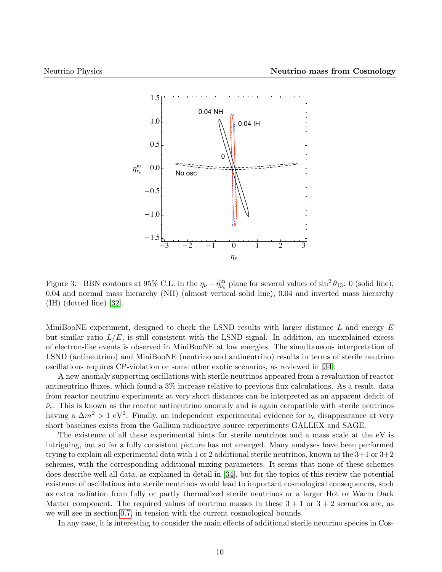

<span id="page-9-0"></span>Figure 3: BBN contours at 95% C.L. in the  $\eta_{\nu} - \eta_{\nu_e}^{in}$  plane for several values of sin<sup>2</sup>  $\theta_{13}$ : 0 (solid line), 0.04 and normal mass hierarchy (NH) (almost vertical solid line), 0.04 and inverted mass hierarchy (IH) (dotted line) [\[32\]](#page-30-16).

MiniBooNE experiment, designed to check the LSND results with larger distance  $L$  and energy  $E$ but similar ratio  $L/E$ , is still consistent with the LSND signal. In addition, an unexplained excess of electron-like events is observed in MiniBooNE at low energies. The simultaneous interpretation of LSND (antineutrino) and MiniBooNE (neutrino and antineutrino) results in terms of sterile neutrino oscillations requires CP-violation or some other exotic scenarios, as reviewed in [\[34\]](#page-31-1).

A new anomaly supporting oscillations with sterile neutrinos appeared from a revaluation of reactor antineutrino fluxes, which found a 3% increase relative to previous flux calculations. As a result, data from reactor neutrino experiments at very short distances can be interpreted as an apparent deficit of  $\bar{\nu}_e$ . This is known as the reactor antineutrino anomaly and is again compatible with sterile neutrinos having a  $\Delta m^2 > 1$  eV<sup>2</sup>. Finally, an independent experimental evidence for  $\nu_e$  disappearance at very short baselines exists from the Gallium radioactive source experiments GALLEX and SAGE.

The existence of all these experimental hints for sterile neutrinos and a mass scale at the eV is intriguing, but so far a fully consistent picture has not emerged. Many analyses have been performed trying to explain all experimental data with 1 or 2 additional sterile neutrinos, known as the  $3+1$  or  $3+2$ schemes, with the corresponding additional mixing parameters. It seems that none of these schemes does describe well all data, as explained in detail in [\[34\]](#page-31-1), but for the topics of this review the potential existence of oscillations into sterile neutrinos would lead to important cosmological consequences, such as extra radiation from fully or partly thermalized sterile neutrinos or a larger Hot or Warm Dark Matter component. The required values of neutrino masses in these  $3 + 1$  or  $3 + 2$  scenarios are, as we will see in section [0.7,](#page-22-0) in tension with the current cosmological bounds.

In any case, it is interesting to consider the main effects of additional sterile neutrino species in Cos-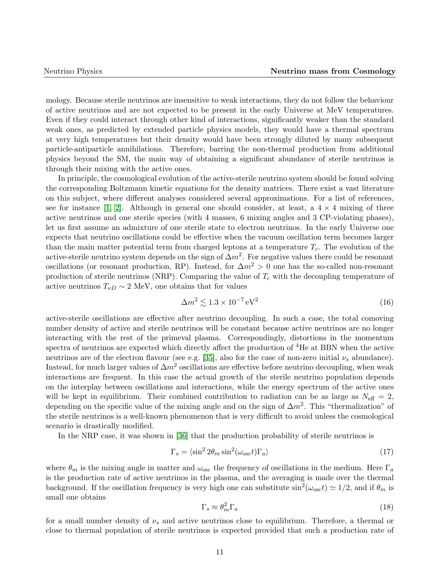mology. Because sterile neutrinos are insensitive to weak interactions, they do not follow the behaviour of active neutrinos and are not expected to be present in the early Universe at MeV temperatures. Even if they could interact through other kind of interactions, significantly weaker than the standard weak ones, as predicted by extended particle physics models, they would have a thermal spectrum at very high temperatures but their density would have been strongly diluted by many subsequent particle-antiparticle annihilations. Therefore, barring the non-thermal production from additional physics beyond the SM, the main way of obtaining a significant abundance of sterile neutrinos is through their mixing with the active ones.

In principle, the cosmological evolution of the active-sterile neutrino system should be found solving the corresponding Boltzmann kinetic equations for the density matrices. There exist a vast literature on this subject, where different analyses considered several approximations. For a list of references, see for instance [\[1,](#page-29-0) [2\]](#page-29-1). Although in general one should consider, at least, a  $4 \times 4$  mixing of three active neutrinos and one sterile species (with 4 masses, 6 mixing angles and 3 CP-violating phases), let us first assume an admixture of one sterile state to electron neutrinos. In the early Universe one expects that neutrino oscillations could be effective when the vacuum oscillation term becomes larger than the main matter potential term from charged leptons at a temperature  $T_c$ . The evolution of the active-sterile neutrino system depends on the sign of  $\Delta m^2$ . For negative values there could be resonant oscillations (or resonant production, RP). Instead, for  $\Delta m^2 > 0$  one has the so-called non-resonant production of sterile neutrinos (NRP). Comparing the value of  $T_c$  with the decoupling temperature of active neutrinos  $T_{\nu D} \sim 2 \text{ MeV}$ , one obtains that for values

$$
\Delta m^2 \lesssim 1.3 \times 10^{-7} \,\mathrm{eV}^2 \tag{16}
$$

active-sterile oscillations are effective after neutrino decoupling. In such a case, the total comoving number density of active and sterile neutrinos will be constant because active neutrinos are no longer interacting with the rest of the primeval plasma. Correspondingly, distortions in the momentum spectra of neutrinos are expected which directly affect the production of <sup>4</sup>He at BBN when the active neutrinos are of the electron flavour (see e.g. [\[35\]](#page-31-2), also for the case of non-zero initial  $\nu_s$  abundance). Instead, for much larger values of  $\Delta m^2$  oscillations are effective before neutrino decoupling, when weak interactions are frequent. In this case the actual growth of the sterile neutrino population depends on the interplay between oscillations and interactions, while the energy spectrum of the active ones will be kept in equilibrium. Their combined contribution to radiation can be as large as  $N_{\text{eff}} = 2$ , depending on the specific value of the mixing angle and on the sign of  $\Delta m^2$ . This "thermalization" of the sterile neutrinos is a well-known phenomenon that is very difficult to avoid unless the cosmological scenario is drastically modified.

In the NRP case, it was shown in [\[36\]](#page-31-3) that the production probability of sterile neutrinos is

$$
\Gamma_s = \langle \sin^2 2\theta_m \sin^2(\omega_{\rm osc} t) \Gamma_a \rangle \tag{17}
$$

where  $\theta_m$  is the mixing angle in matter and  $\omega_{osc}$  the frequency of oscillations in the medium. Here  $\Gamma_a$ is the production rate of active neutrinos in the plasma, and the averaging is made over the thermal background. If the oscillation frequency is very high one can substitute  $\sin^2(\omega_{osc}t) \simeq 1/2$ , and if  $\theta_m$  is small one obtains

$$
\Gamma_s \approx \theta_m^2 \Gamma_a \tag{18}
$$

for a small number density of  $\nu_s$  and active neutrinos close to equilibrium. Therefore, a thermal or close to thermal population of sterile neutrinos is expected provided that such a production rate of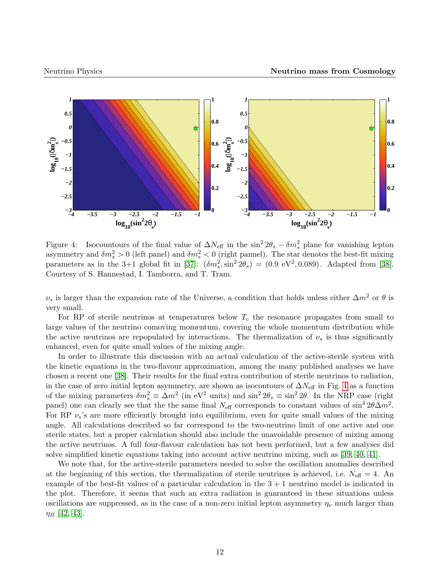

<span id="page-11-0"></span>Figure 4: Isocountours of the final value of  $\Delta N_{\text{eff}}$  in the  $\sin^2 2\theta_s - \delta m_s^2$  plane for vanishing lepton asymmetry and  $\delta m_s^2 > 0$  (left panel) and  $\delta m_s^2 < 0$  (right pannel). The star denotes the best-fit mixing parameters as in the 3+1 global fit in [\[37\]](#page-31-4):  $(\delta m_s^2, \sin^2 2\theta_s) = (0.9 \text{ eV}^2, 0.089)$ . Adapted from [\[38\]](#page-31-5). Courtesy of S. Hannestad, I. Tamborra, and T. Tram.

 $\nu_s$  is larger than the expansion rate of the Universe, a condition that holds unless either  $\Delta m^2$  or  $\theta$  is very small.

For RP of sterile neutrinos at temperatures below  $T_c$  the resonance propagates from small to large values of the neutrino comoving momentum, covering the whole momentum distribution while the active neutrinos are repopulated by interactions. The thermalization of  $\nu_s$  is thus significantly enhanced, even for quite small values of the mixing angle.

In order to illustrate this discussion with an actual calculation of the active-sterile system with the kinetic equations in the two-flavour approximation, among the many published analyses we have chosen a recent one [\[38\]](#page-31-5). Their results for the final extra contribution of sterile neutrinos to radiation, in the case of zero initial lepton asymmetry, are shown as isocontours of  $\Delta N_{\text{eff}}$  in Fig. [4](#page-11-0) as a function of the mixing parameters  $\delta m_s^2 \equiv \Delta m^2$  (in eV<sup>2</sup> units) and  $\sin^2 2\theta_s \equiv \sin^2 2\theta$ . In the NRP case (right panel) one can clearly see that the the same final  $N_{\text{eff}}$  corresponds to constant values of  $\sin^4 2\theta \Delta m^2$ . For RP  $\nu_s$ 's are more efficiently brought into equilibrium, even for quite small values of the mixing angle. All calculations described so far correspond to the two-neutrino limit of one active and one sterile states, but a proper calculation should also include the unavoidable presence of mixing among the active neutrinos. A full four-flavour calculation has not been performed, but a few analyses did solve simplified kinetic equations taking into account active neutrino mixing, such as [\[39,](#page-31-6) [40,](#page-31-7) [41\]](#page-31-8).

We note that, for the active-sterile parameters needed to solve the oscillation anomalies described at the beginning of this section, the thermalization of sterile neutrinos is achieved, i.e.  $N_{\text{eff}} = 4$ . An example of the best-fit values of a particular calculation in the  $3 + 1$  neutrino model is indicated in the plot. Therefore, it seems that such an extra radiation is guaranteed in these situations unless oscillations are suppressed, as in the case of a non-zero initial lepton asymmetry  $\eta_{\nu}$  much larger than  $\eta_B$  [\[42,](#page-31-9) [43\]](#page-31-10).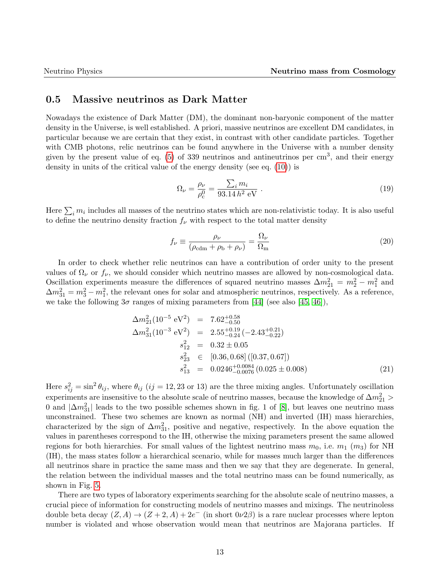### <span id="page-12-0"></span>0.5 Massive neutrinos as Dark Matter

Nowadays the existence of Dark Matter (DM), the dominant non-baryonic component of the matter density in the Universe, is well established. A priori, massive neutrinos are excellent DM candidates, in particular because we are certain that they exist, in contrast with other candidate particles. Together with CMB photons, relic neutrinos can be found anywhere in the Universe with a number density given by the present value of eq. [\(5\)](#page-3-1) of 339 neutrinos and antineutrinos per  $\text{cm}^3$ , and their energy density in units of the critical value of the energy density (see eq. [\(10\)](#page-4-0)) is

<span id="page-12-2"></span>
$$
\Omega_{\nu} = \frac{\rho_{\nu}}{\rho_{\rm c}^0} = \frac{\sum_{i} m_i}{93.14 \, h^2 \, \text{eV}} \,. \tag{19}
$$

Here  $\sum_i m_i$  includes all masses of the neutrino states which are non-relativistic today. It is also useful to define the neutrino density fraction  $f_\nu$  with respect to the total matter density

$$
f_{\nu} \equiv \frac{\rho_{\nu}}{(\rho_{\text{cdm}} + \rho_{\text{b}} + \rho_{\nu})} = \frac{\Omega_{\nu}}{\Omega_{\text{m}}} \tag{20}
$$

In order to check whether relic neutrinos can have a contribution of order unity to the present values of  $\Omega_{\nu}$  or  $f_{\nu}$ , we should consider which neutrino masses are allowed by non-cosmological data. Oscillation experiments measure the differences of squared neutrino masses  $\Delta m_{21}^2 = m_2^2 - m_1^2$  and  $\Delta m_{31}^2 = m_3^2 - m_1^2$ , the relevant ones for solar and atmospheric neutrinos, respectively. As a reference, we take the following  $3\sigma$  ranges of mixing parameters from [\[44\]](#page-31-11) (see also [\[45,](#page-31-12) [46\]](#page-31-13)),

<span id="page-12-1"></span>
$$
\Delta m_{21}^2 (10^{-5} \text{ eV}^2) = 7.62^{+0.58}_{-0.50}
$$
  
\n
$$
\Delta m_{31}^2 (10^{-3} \text{ eV}^2) = 2.55^{+0.19}_{-0.24} (-2.43^{+0.21}_{-0.22})
$$
  
\n
$$
s_{12}^2 = 0.32 \pm 0.05
$$
  
\n
$$
s_{23}^2 \in [0.36, 0.68] ([0.37, 0.67])
$$
  
\n
$$
s_{13}^2 = 0.0246^{+0.0084}_{-0.0076} (0.025 \pm 0.008)
$$
 (21)

Here  $s_{ij}^2 = \sin^2 \theta_{ij}$ , where  $\theta_{ij}$  (ij = 12, 23 or 13) are the three mixing angles. Unfortunately oscillation experiments are insensitive to the absolute scale of neutrino masses, because the knowledge of  $\Delta m^2_{21} >$ 0 and  $|\Delta m_{31}^2|$  leads to the two possible schemes shown in fig. 1 of [\[8\]](#page-29-7), but leaves one neutrino mass unconstrained. These two schemes are known as normal (NH) and inverted (IH) mass hierarchies, characterized by the sign of  $\Delta m_{31}^2$ , positive and negative, respectively. In the above equation the values in parentheses correspond to the IH, otherwise the mixing parameters present the same allowed regions for both hierarchies. For small values of the lightest neutrino mass  $m_0$ , i.e.  $m_1$  ( $m_3$ ) for NH (IH), the mass states follow a hierarchical scenario, while for masses much larger than the differences all neutrinos share in practice the same mass and then we say that they are degenerate. In general, the relation between the individual masses and the total neutrino mass can be found numerically, as shown in Fig. [5.](#page-13-0)

There are two types of laboratory experiments searching for the absolute scale of neutrino masses, a crucial piece of information for constructing models of neutrino masses and mixings. The neutrinoless double beta decay  $(Z, A) \to (Z + 2, A) + 2e^-$  (in short  $0\nu2\beta$ ) is a rare nuclear processes where lepton number is violated and whose observation would mean that neutrinos are Majorana particles. If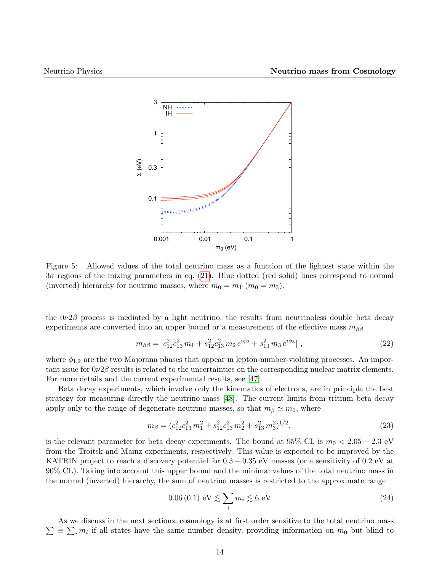

<span id="page-13-0"></span>Figure 5: Allowed values of the total neutrino mass as a function of the lightest state within the 3σ regions of the mixing parameters in eq. [\(21\)](#page-12-1). Blue dotted (red solid) lines correspond to normal (inverted) hierarchy for neutrino masses, where  $m_0 = m_1$  ( $m_0 = m_3$ ).

the  $0\nu2\beta$  process is mediated by a light neutrino, the results from neutrinoless double beta decay experiments are converted into an upper bound or a measurement of the effective mass  $m_{\beta\beta}$ 

$$
m_{\beta\beta} = |c_{12}^2 c_{13}^2 m_1 + s_{12}^2 c_{13}^2 m_2 e^{i\phi_2} + s_{13}^2 m_3 e^{i\phi_3}| \,, \tag{22}
$$

where  $\phi_{1,2}$  are the two Majorana phases that appear in lepton-number-violating processes. An important issue for  $0\nu2\beta$  results is related to the uncertainties on the corresponding nuclear matrix elements. For more details and the current experimental results, see [\[47\]](#page-31-14).

Beta decay experiments, which involve only the kinematics of electrons, are in principle the best strategy for measuring directly the neutrino mass [\[48\]](#page-31-15). The current limits from tritium beta decay apply only to the range of degenerate neutrino masses, so that  $m<sub>\beta</sub> \simeq m<sub>0</sub>$ , where

$$
m_{\beta} = (c_{12}^2 c_{13}^2 m_1^2 + s_{12}^2 c_{13}^2 m_2^2 + s_{13}^2 m_3^2)^{1/2},\tag{23}
$$

is the relevant parameter for beta decay experiments. The bound at  $95\%$  CL is  $m_0 < 2.05 - 2.3$  eV from the Troitsk and Mainz experiments, respectively. This value is expected to be improved by the KATRIN project to reach a discovery potential for  $0.3 - 0.35$  eV masses (or a sensitivity of 0.2 eV at 90% CL). Taking into account this upper bound and the minimal values of the total neutrino mass in the normal (inverted) hierarchy, the sum of neutrino masses is restricted to the approximate range

<span id="page-13-1"></span>
$$
0.06(0.1) \text{ eV} \lesssim \sum_{i} m_i \lesssim 6 \text{ eV}
$$
 (24)

 $\sum \equiv \sum_i m_i$  if all states have the same number density, providing information on  $m_0$  but blind to As we discuss in the next sections, cosmology is at first order sensitive to the total neutrino mass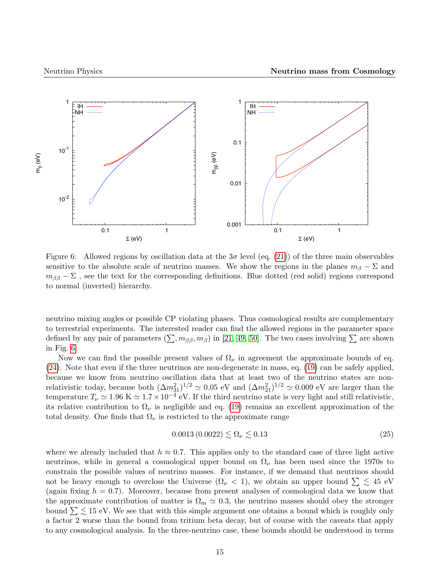

<span id="page-14-0"></span>Figure 6: Allowed regions by oscillation data at the  $3\sigma$  level (eq. [\(21\)](#page-12-1)) of the three main observables sensitive to the absolute scale of neutrino masses. We show the regions in the planes  $m<sub>β</sub> - \Sigma$  and  $m_{\beta\beta} - \Sigma$ , see the text for the corresponding definitions. Blue dotted (red solid) regions correspond to normal (inverted) hierarchy.

neutrino mixing angles or possible CP violating phases. Thus cosmological results are complementary to terrestrial experiments. The interested reader can find the allowed regions in the parameter space defined by any pair of parameters  $(\sum, m_{\beta\beta}, m_{\beta})$  in [\[21,](#page-30-5) [49,](#page-31-16) [50\]](#page-32-0). The two cases involving  $\Sigma$  are shown in Fig. [6.](#page-14-0)

Now we can find the possible present values of  $\Omega_{\nu}$  in agreement the approximate bounds of eq. [\(24\)](#page-13-1). Note that even if the three neutrinos are non-degenerate in mass, eq. [\(19\)](#page-12-2) can be safely applied, because we know from neutrino oscillation data that at least two of the neutrino states are nonrelativistic today, because both  $(\Delta m_{31}^2)^{1/2} \simeq 0.05$  eV and  $(\Delta m_{21}^2)^{1/2} \simeq 0.009$  eV are larger than the temperature  $T_{\nu} \simeq 1.96 \text{ K} \simeq 1.7 \times 10^{-4} \text{ eV}$ . If the third neutrino state is very light and still relativistic, its relative contribution to  $\Omega_{\nu}$  is negligible and eq. [\(19\)](#page-12-2) remains an excellent approximation of the total density. One finds that  $\Omega_{\nu}$  is restricted to the approximate range

$$
0.0013 (0.0022) \lesssim \Omega_{\nu} \lesssim 0.13 \tag{25}
$$

where we already included that  $h \approx 0.7$ . This applies only to the standard case of three light active neutrinos, while in general a cosmological upper bound on  $\Omega_{\nu}$  has been used since the 1970s to constrain the possible values of neutrino masses. For instance, if we demand that neutrinos should not be heavy enough to overclose the Universe  $(\Omega_{\nu} < 1)$ , we obtain an upper bound  $\sum \le 45$  eV (again fixing  $h = 0.7$ ). Moreover, because from present analyses of cosmological data we know that the approximate contribution of matter is  $\Omega_{\rm m} \simeq 0.3$ , the neutrino masses should obey the stronger bound  $\sum \lesssim 15$  eV. We see that with this simple argument one obtains a bound which is roughly only a factor 2 worse than the bound from tritium beta decay, but of course with the caveats that apply to any cosmological analysis. In the three-neutrino case, these bounds should be understood in terms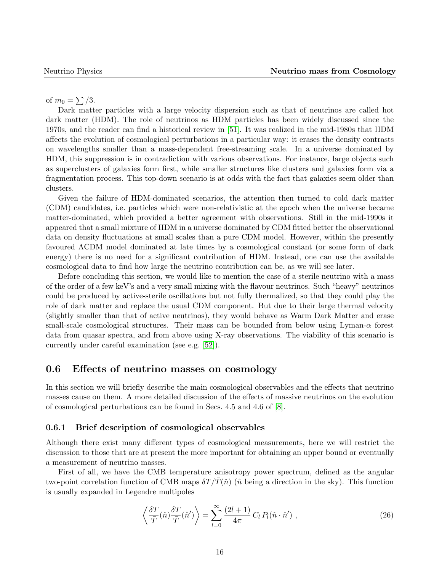of  $m_0 = \sum /3$ .

Dark matter particles with a large velocity dispersion such as that of neutrinos are called hot dark matter (HDM). The role of neutrinos as HDM particles has been widely discussed since the 1970s, and the reader can find a historical review in [\[51\]](#page-32-1). It was realized in the mid-1980s that HDM affects the evolution of cosmological perturbations in a particular way: it erases the density contrasts on wavelengths smaller than a mass-dependent free-streaming scale. In a universe dominated by HDM, this suppression is in contradiction with various observations. For instance, large objects such as superclusters of galaxies form first, while smaller structures like clusters and galaxies form via a fragmentation process. This top-down scenario is at odds with the fact that galaxies seem older than clusters.

Given the failure of HDM-dominated scenarios, the attention then turned to cold dark matter (CDM) candidates, i.e. particles which were non-relativistic at the epoch when the universe became matter-dominated, which provided a better agreement with observations. Still in the mid-1990s it appeared that a small mixture of HDM in a universe dominated by CDM fitted better the observational data on density fluctuations at small scales than a pure CDM model. However, within the presently favoured ΛCDM model dominated at late times by a cosmological constant (or some form of dark energy) there is no need for a significant contribution of HDM. Instead, one can use the available cosmological data to find how large the neutrino contribution can be, as we will see later.

Before concluding this section, we would like to mention the case of a sterile neutrino with a mass of the order of a few keV's and a very small mixing with the flavour neutrinos. Such "heavy" neutrinos could be produced by active-sterile oscillations but not fully thermalized, so that they could play the role of dark matter and replace the usual CDM component. But due to their large thermal velocity (slightly smaller than that of active neutrinos), they would behave as Warm Dark Matter and erase small-scale cosmological structures. Their mass can be bounded from below using  $Lyman-\alpha$  forest data from quasar spectra, and from above using X-ray observations. The viability of this scenario is currently under careful examination (see e.g. [\[52\]](#page-32-2)).

## 0.6 Effects of neutrino masses on cosmology

In this section we will briefly describe the main cosmological observables and the effects that neutrino masses cause on them. A more detailed discussion of the effects of massive neutrinos on the evolution of cosmological perturbations can be found in Secs. 4.5 and 4.6 of [\[8\]](#page-29-7).

#### 0.6.1 Brief description of cosmological observables

Although there exist many different types of cosmological measurements, here we will restrict the discussion to those that are at present the more important for obtaining an upper bound or eventually a measurement of neutrino masses.

First of all, we have the CMB temperature anisotropy power spectrum, defined as the angular two-point correlation function of CMB maps  $\delta T/T(\hat{n})$  ( $\hat{n}$  being a direction in the sky). This function is usually expanded in Legendre multipoles

$$
\left\langle \frac{\delta T}{\bar{T}}(\hat{n}) \frac{\delta T}{\bar{T}}(\hat{n}') \right\rangle = \sum_{l=0}^{\infty} \frac{(2l+1)}{4\pi} C_l P_l(\hat{n} \cdot \hat{n}') , \qquad (26)
$$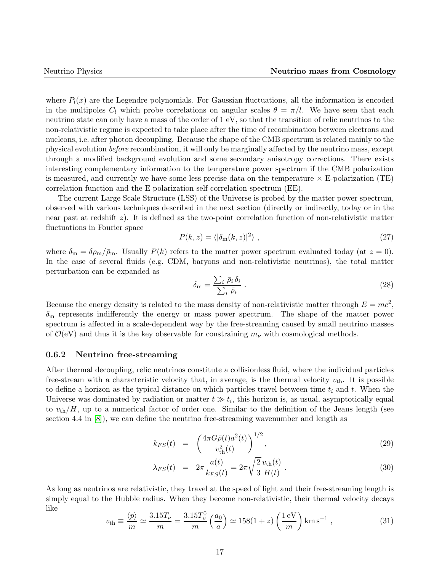where  $P_l(x)$  are the Legendre polynomials. For Gaussian fluctuations, all the information is encoded in the multipoles  $C_l$  which probe correlations on angular scales  $\theta = \pi/l$ . We have seen that each neutrino state can only have a mass of the order of 1 eV, so that the transition of relic neutrinos to the non-relativistic regime is expected to take place after the time of recombination between electrons and nucleons, i.e. after photon decoupling. Because the shape of the CMB spectrum is related mainly to the physical evolution before recombination, it will only be marginally affected by the neutrino mass, except through a modified background evolution and some secondary anisotropy corrections. There exists interesting complementary information to the temperature power spectrum if the CMB polarization is measured, and currently we have some less precise data on the temperature  $\times$  E-polarization (TE) correlation function and the E-polarization self-correlation spectrum (EE).

The current Large Scale Structure (LSS) of the Universe is probed by the matter power spectrum, observed with various techniques described in the next section (directly or indirectly, today or in the near past at redshift  $z$ ). It is defined as the two-point correlation function of non-relativistic matter fluctuations in Fourier space

$$
P(k, z) = \langle |\delta_{\rm m}(k, z)|^2 \rangle \tag{27}
$$

where  $\delta_{\rm m} = \delta \rho_{\rm m}/\bar{\rho}_{\rm m}$ . Usually  $P(k)$  refers to the matter power spectrum evaluated today (at  $z = 0$ ). In the case of several fluids (e.g. CDM, baryons and non-relativistic neutrinos), the total matter perturbation can be expanded as

$$
\delta_{\rm m} = \frac{\sum_{i} \bar{\rho}_i \,\delta_i}{\sum_{i} \bar{\rho}_i} \,. \tag{28}
$$

Because the energy density is related to the mass density of non-relativistic matter through  $E = mc^2$ ,  $\delta_{\rm m}$  represents indifferently the energy or mass power spectrum. The shape of the matter power spectrum is affected in a scale-dependent way by the free-streaming caused by small neutrino masses of  $\mathcal{O}(\text{eV})$  and thus it is the key observable for constraining  $m_{\nu}$  with cosmological methods.

#### 0.6.2 Neutrino free-streaming

After thermal decoupling, relic neutrinos constitute a collisionless fluid, where the individual particles free-stream with a characteristic velocity that, in average, is the thermal velocity  $v_{\text{th}}$ . It is possible to define a horizon as the typical distance on which particles travel between time  $t_i$  and t. When the Universe was dominated by radiation or matter  $t \gg t_i$ , this horizon is, as usual, asymptotically equal to  $v_{\text{th}}/H$ , up to a numerical factor of order one. Similar to the definition of the Jeans length (see section 4.4 in [\[8\]](#page-29-7)), we can define the neutrino free-streaming wavenumber and length as

$$
k_{FS}(t) = \left(\frac{4\pi G\bar{\rho}(t)a^2(t)}{v_{\text{th}}^2(t)}\right)^{1/2},\tag{29}
$$

$$
\lambda_{FS}(t) = 2\pi \frac{a(t)}{k_{FS}(t)} = 2\pi \sqrt{\frac{2}{3}} \frac{v_{\text{th}}(t)}{H(t)} .
$$
\n(30)

As long as neutrinos are relativistic, they travel at the speed of light and their free-streaming length is simply equal to the Hubble radius. When they become non-relativistic, their thermal velocity decays like

$$
v_{\rm th} \equiv \frac{\langle p \rangle}{m} \simeq \frac{3.15T_{\nu}}{m} = \frac{3.15T_{\nu}^0}{m} \left(\frac{a_0}{a}\right) \simeq 158(1+z) \left(\frac{1 \,\text{eV}}{m}\right) \text{km s}^{-1} ,\tag{31}
$$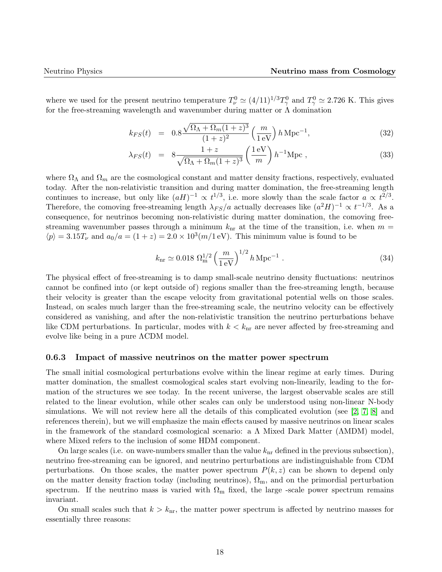where we used for the present neutrino temperature  $T_{\nu}^0 \simeq (4/11)^{1/3} T_{\gamma}^0$  and  $T_{\gamma}^0 \simeq 2.726$  K. This gives for the free-streaming wavelength and wavenumber during matter or  $\Lambda$  domination

$$
k_{FS}(t) = 0.8 \frac{\sqrt{\Omega_{\Lambda} + \Omega_m (1+z)^3}}{(1+z)^2} \left(\frac{m}{1 \text{ eV}}\right) h \, \text{Mpc}^{-1},\tag{32}
$$

$$
\lambda_{FS}(t) = 8 \frac{1+z}{\sqrt{\Omega_{\Lambda} + \Omega_m (1+z)^3}} \left(\frac{1 \text{ eV}}{m}\right) h^{-1} \text{Mpc} , \qquad (33)
$$

where  $\Omega_{\Lambda}$  and  $\Omega_{m}$  are the cosmological constant and matter density fractions, respectively, evaluated today. After the non-relativistic transition and during matter domination, the free-streaming length continues to increase, but only like  $(aH)^{-1} \propto t^{1/3}$ , i.e. more slowly than the scale factor  $a \propto t^{2/3}$ . Therefore, the comoving free-streaming length  $\lambda_{FS}/a$  actually decreases like  $(a^2H)^{-1} \propto t^{-1/3}$ . As a consequence, for neutrinos becoming non-relativistic during matter domination, the comoving freestreaming wavenumber passes through a minimum  $k<sub>nr</sub>$  at the time of the transition, i.e. when  $m =$  $\langle p \rangle = 3.15T_{\nu}$  and  $a_0/a = (1+z) = 2.0 \times 10^3 (m/1 \text{ eV})$ . This minimum value is found to be

$$
k_{\rm nr} \simeq 0.018 \ \Omega_{\rm m}^{1/2} \left(\frac{m}{1 \,\mathrm{eV}}\right)^{1/2} h \,\mathrm{Mpc}^{-1} \ . \tag{34}
$$

The physical effect of free-streaming is to damp small-scale neutrino density fluctuations: neutrinos cannot be confined into (or kept outside of) regions smaller than the free-streaming length, because their velocity is greater than the escape velocity from gravitational potential wells on those scales. Instead, on scales much larger than the free-streaming scale, the neutrino velocity can be effectively considered as vanishing, and after the non-relativistic transition the neutrino perturbations behave like CDM perturbations. In particular, modes with  $k < k<sub>nr</sub>$  are never affected by free-streaming and evolve like being in a pure ΛCDM model.

#### <span id="page-17-0"></span>0.6.3 Impact of massive neutrinos on the matter power spectrum

The small initial cosmological perturbations evolve within the linear regime at early times. During matter domination, the smallest cosmological scales start evolving non-linearily, leading to the formation of the structures we see today. In the recent universe, the largest observable scales are still related to the linear evolution, while other scales can only be understood using non-linear N-body simulations. We will not review here all the details of this complicated evolution (see [\[2,](#page-29-1) [7,](#page-29-6) [8\]](#page-29-7) and references therein), but we will emphasize the main effects caused by massive neutrinos on linear scales in the framework of the standard cosmological scenario: a  $\Lambda$  Mixed Dark Matter ( $\Lambda$ MDM) model, where Mixed refers to the inclusion of some HDM component.

On large scales (i.e. on wave-numbers smaller than the value  $k_{nr}$  defined in the previous subsection), neutrino free-streaming can be ignored, and neutrino perturbations are indistinguishable from CDM perturbations. On those scales, the matter power spectrum  $P(k, z)$  can be shown to depend only on the matter density fraction today (including neutrinos),  $\Omega_{\rm m}$ , and on the primordial perturbation spectrum. If the neutrino mass is varied with  $\Omega_{\rm m}$  fixed, the large -scale power spectrum remains invariant.

On small scales such that  $k > k_{\text{nr}}$ , the matter power spectrum is affected by neutrino masses for essentially three reasons: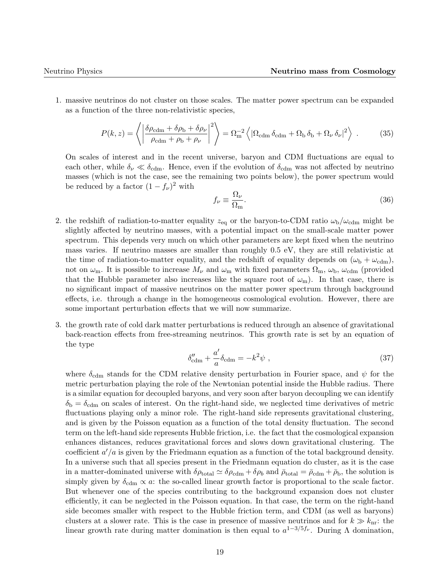1. massive neutrinos do not cluster on those scales. The matter power spectrum can be expanded as a function of the three non-relativistic species,

$$
P(k,z) = \left\langle \left| \frac{\delta \rho_{\text{cdm}} + \delta \rho_{\text{b}} + \delta \rho_{\nu}}{\rho_{\text{cdm}} + \rho_{\text{b}} + \rho_{\nu}} \right|^2 \right\rangle = \Omega_{\text{m}}^{-2} \left\langle \left| \Omega_{\text{cdm}} \delta_{\text{cdm}} + \Omega_{\text{b}} \delta_{\text{b}} + \Omega_{\nu} \delta_{\nu} \right|^2 \right\rangle . \tag{35}
$$

On scales of interest and in the recent universe, baryon and CDM fluctuations are equal to each other, while  $\delta_{\nu} \ll \delta_{\text{cdm}}$ . Hence, even if the evolution of  $\delta_{\text{cdm}}$  was not affected by neutrino masses (which is not the case, see the remaining two points below), the power spectrum would be reduced by a factor  $(1 - f_{\nu})^2$  with

$$
f_{\nu} \equiv \frac{\Omega_{\nu}}{\Omega_{\rm m}}.\tag{36}
$$

- 2. the redshift of radiation-to-matter equality  $z_{eq}$  or the baryon-to-CDM ratio  $\omega_{\rm b}/\omega_{\rm cdm}$  might be slightly affected by neutrino masses, with a potential impact on the small-scale matter power spectrum. This depends very much on which other parameters are kept fixed when the neutrino mass varies. If neutrino masses are smaller than roughly 0.5 eV, they are still relativistic at the time of radiation-to-matter equality, and the redshift of equality depends on  $(\omega_{\rm b} + \omega_{\rm cdm})$ , not on  $\omega_m$ . It is possible to increase  $M_{\nu}$  and  $\omega_m$  with fixed parameters  $\Omega_m$ ,  $\omega_b$ ,  $\omega_{cdm}$  (provided that the Hubble parameter also increases like the square root of  $\omega_{\rm m}$ ). In that case, there is no significant impact of massive neutrinos on the matter power spectrum through background effects, i.e. through a change in the homogeneous cosmological evolution. However, there are some important perturbation effects that we will now summarize.
- 3. the growth rate of cold dark matter perturbations is reduced through an absence of gravitational back-reaction effects from free-streaming neutrinos. This growth rate is set by an equation of the type

$$
\delta_{\text{cdm}}'' + \frac{a'}{a} \delta_{\text{cdm}} = -k^2 \psi \tag{37}
$$

where  $\delta_{\rm cdm}$  stands for the CDM relative density perturbation in Fourier space, and  $\psi$  for the metric perturbation playing the role of the Newtonian potential inside the Hubble radius. There is a similar equation for decoupled baryons, and very soon after baryon decoupling we can identify  $\delta_{\rm b} = \delta_{\rm cdm}$  on scales of interest. On the right-hand side, we neglected time derivatives of metric fluctuations playing only a minor role. The right-hand side represents gravitational clustering, and is given by the Poisson equation as a function of the total density fluctuation. The second term on the left-hand side represents Hubble friction, i.e. the fact that the cosmological expansion enhances distances, reduces gravitational forces and slows down gravitational clustering. The coefficient  $a'/a$  is given by the Friedmann equation as a function of the total background density. In a universe such that all species present in the Friedmann equation do cluster, as it is the case in a matter-dominated universe with  $\delta \rho_{\text{total}} \simeq \delta \rho_{\text{cdm}} + \delta \rho_b$  and  $\bar{\rho}_{\text{total}} = \bar{\rho}_{\text{cdm}} + \bar{\rho}_b$ , the solution is simply given by  $\delta_{\text{cdm}} \propto a$ : the so-called linear growth factor is proportional to the scale factor. But whenever one of the species contributing to the background expansion does not cluster efficiently, it can be neglected in the Poisson equation. In that case, the term on the right-hand side becomes smaller with respect to the Hubble friction term, and CDM (as well as baryons) clusters at a slower rate. This is the case in presence of massive neutrinos and for  $k \gg k_{\text{nr}}$ : the linear growth rate during matter domination is then equal to  $a^{1-3/5f_{\nu}}$ . During  $\Lambda$  domination,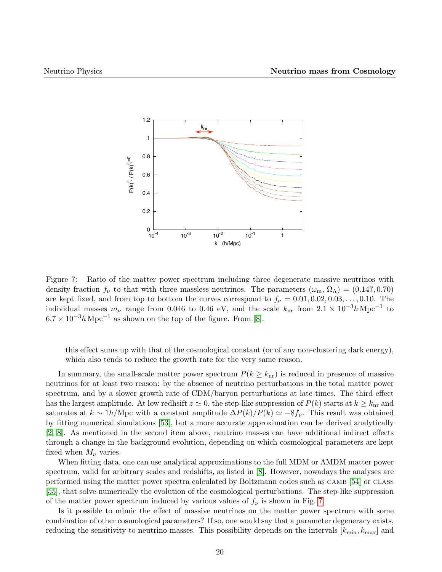

<span id="page-19-0"></span>Figure 7: Ratio of the matter power spectrum including three degenerate massive neutrinos with density fraction  $f_{\nu}$  to that with three massless neutrinos. The parameters  $(\omega_{\rm m}, \Omega_{\Lambda}) = (0.147, 0.70)$ are kept fixed, and from top to bottom the curves correspond to  $f_{\nu} = 0.01, 0.02, 0.03, \ldots, 0.10$ . The individual masses  $m_{\nu}$  range from 0.046 to 0.46 eV, and the scale  $k_{\rm nr}$  from  $2.1 \times 10^{-3} h \text{ Mpc}^{-1}$  to  $6.7 \times 10^{-3} h \text{ Mpc}^{-1}$  as shown on the top of the figure. From [\[8\]](#page-29-7).

this effect sums up with that of the cosmological constant (or of any non-clustering dark energy), which also tends to reduce the growth rate for the very same reason.

In summary, the small-scale matter power spectrum  $P(k \geq k_{nr})$  is reduced in presence of massive neutrinos for at least two reason: by the absence of neutrino perturbations in the total matter power spectrum, and by a slower growth rate of CDM/baryon perturbations at late times. The third effect has the largest amplitude. At low redhsift  $z \approx 0$ , the step-like suppression of  $P(k)$  starts at  $k \geq k_{nr}$  and saturates at  $k \sim 1h/\text{Mpc}$  with a constant amplitude  $\Delta P(k)/P(k) \simeq -8f_\nu$ . This result was obtained by fitting numerical simulations [\[53\]](#page-32-3), but a more accurate approximation can be derived analytically [\[2,](#page-29-1) [8\]](#page-29-7). As mentioned in the second item above, neutrino masses can have additional indirect effects through a change in the background evolution, depending on which cosmological parameters are kept fixed when  $M_{\nu}$  varies.

When fitting data, one can use analytical approximations to the full MDM or ΛMDM matter power spectrum, valid for arbitrary scales and redshifts, as listed in [\[8\]](#page-29-7). However, nowadays the analyses are performed using the matter power spectra calculated by Boltzmann codes such as camb [\[54\]](#page-32-4) or class [\[55\]](#page-32-5), that solve numerically the evolution of the cosmological perturbations. The step-like suppression of the matter power spectrum induced by various values of  $f_{\nu}$  is shown in Fig. [7.](#page-19-0)

Is it possible to mimic the effect of massive neutrinos on the matter power spectrum with some combination of other cosmological parameters? If so, one would say that a parameter degeneracy exists, reducing the sensitivity to neutrino masses. This possibility depends on the intervals  $[k_{\min}, k_{\max}]$  and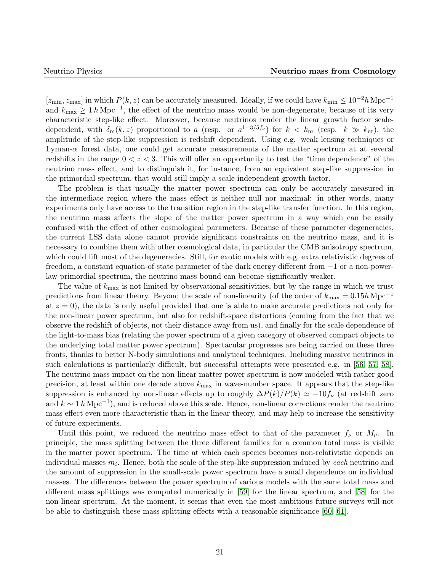$[z_{\min}, z_{\max}]$  in which  $P(k, z)$  can be accurately measured. Ideally, if we could have  $k_{\min} \leq 10^{-2} h \text{ Mpc}^{-1}$ and  $k_{\text{max}} \geq 1 h \text{ Mpc}^{-1}$ , the effect of the neutrino mass would be non-degenerate, because of its very characteristic step-like effect. Moreover, because neutrinos render the linear growth factor scaledependent, with  $\delta_{\rm m}(k, z)$  proportional to a (resp. or  $a^{1-3/5f_{\nu}}$ ) for  $k \leq k_{\rm nr}$  (resp.  $k \gg k_{\rm nr}$ ), the amplitude of the step-like suppression is redshift dependent. Using e.g. weak lensing techniques or Lyman- $\alpha$  forest data, one could get accurate measurements of the matter spectrum at at several redshifts in the range  $0 < z < 3$ . This will offer an opportunity to test the "time dependence" of the neutrino mass effect, and to distinguish it, for instance, from an equivalent step-like suppression in the primordial spectrum, that would still imply a scale-independent growth factor.

The problem is that usually the matter power spectrum can only be accurately measured in the intermediate region where the mass effect is neither null nor maximal: in other words, many experiments only have access to the transition region in the step-like transfer function. In this region, the neutrino mass affects the slope of the matter power spectrum in a way which can be easily confused with the effect of other cosmological parameters. Because of these parameter degeneracies, the current LSS data alone cannot provide significant constraints on the neutrino mass, and it is necessary to combine them with other cosmological data, in particular the CMB anisotropy spectrum, which could lift most of the degeneracies. Still, for exotic models with e.g. extra relativistic degrees of freedom, a constant equation-of-state parameter of the dark energy different from −1 or a non-powerlaw primordial spectrum, the neutrino mass bound can become significantly weaker.

The value of  $k_{\text{max}}$  is not limited by observational sensitivities, but by the range in which we trust predictions from linear theory. Beyond the scale of non-linearity (of the order of  $k_{\text{max}} = 0.15h \text{ Mpc}^{-1}$ at  $z = 0$ ), the data is only useful provided that one is able to make accurate predictions not only for the non-linear power spectrum, but also for redshift-space distortions (coming from the fact that we observe the redshift of objects, not their distance away from us), and finally for the scale dependence of the light-to-mass bias (relating the power spectrum of a given category of observed compact objects to the underlying total matter power spectrum). Spectacular progresses are being carried on these three fronts, thanks to better N-body simulations and analytical techniques. Including massive neutrinos in such calculations is particularly difficult, but successful attempts were presented e.g. in [\[56,](#page-32-6) [57,](#page-32-7) [58\]](#page-32-8). The neutrino mass impact on the non-linear matter power spectrum is now modeled with rather good precision, at least within one decade above  $k_{\text{max}}$  in wave-number space. It appears that the step-like suppression is enhanced by non-linear effects up to roughly  $\Delta P(k)/P(k) \simeq -10f_{\nu}$  (at redshift zero and  $k \sim 1 h \text{ Mpc}^{-1}$ ), and is reduced above this scale. Hence, non-linear corrections render the neutrino mass effect even more characteristic than in the linear theory, and may help to increase the sensitivity of future experiments.

Until this point, we reduced the neutrino mass effect to that of the parameter  $f_{\nu}$  or  $M_{\nu}$ . In principle, the mass splitting between the three different families for a common total mass is visible in the matter power spectrum. The time at which each species becomes non-relativistic depends on individual masses  $m_i$ . Hence, both the scale of the step-like suppression induced by each neutrino and the amount of suppression in the small-scale power spectrum have a small dependence on individual masses. The differences between the power spectrum of various models with the same total mass and different mass splittings was computed numerically in [\[59\]](#page-32-9) for the linear spectrum, and [\[58\]](#page-32-8) for the non-linear spectrum. At the moment, it seems that even the most ambitious future surveys will not be able to distinguish these mass splitting effects with a reasonable significance [\[60,](#page-32-10) [61\]](#page-32-11).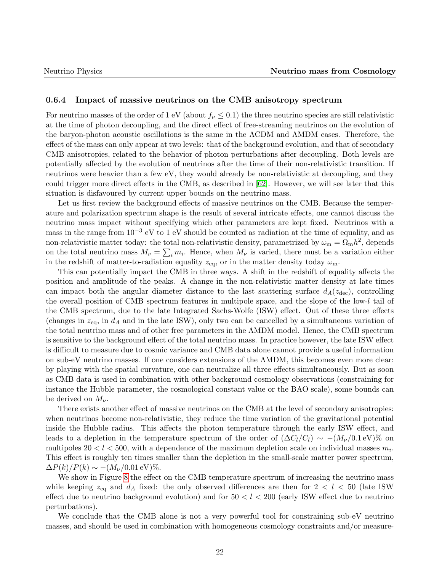#### 0.6.4 Impact of massive neutrinos on the CMB anisotropy spectrum

For neutrino masses of the order of 1 eV (about  $f_{\nu} \leq 0.1$ ) the three neutrino species are still relativistic at the time of photon decoupling, and the direct effect of free-streaming neutrinos on the evolution of the baryon-photon acoustic oscillations is the same in the ΛCDM and ΛMDM cases. Therefore, the effect of the mass can only appear at two levels: that of the background evolution, and that of secondary CMB anisotropies, related to the behavior of photon perturbations after decoupling. Both levels are potentially affected by the evolution of neutrinos after the time of their non-relativistic transition. If neutrinos were heavier than a few eV, they would already be non-relativistic at decoupling, and they could trigger more direct effects in the CMB, as described in [\[62\]](#page-32-12). However, we will see later that this situation is disfavoured by current upper bounds on the neutrino mass.

Let us first review the background effects of massive neutrinos on the CMB. Because the temperature and polarization spectrum shape is the result of several intricate effects, one cannot discuss the neutrino mass impact without specifying which other parameters are kept fixed. Neutrinos with a mass in the range from  $10^{-3}$  eV to 1 eV should be counted as radiation at the time of equality, and as non-relativistic matter today: the total non-relativistic density, parametrized by  $\omega_{\rm m} = \Omega_{\rm m} h^2$ , depends on the total neutrino mass  $M_{\nu} = \sum_i m_i$ . Hence, when  $M_{\nu}$  is varied, there must be a variation either in the redshift of matter-to-radiation equality  $z_{eq}$ , or in the matter density today  $\omega_{m}$ .

This can potentially impact the CMB in three ways. A shift in the redshift of equality affects the position and amplitude of the peaks. A change in the non-relativistic matter density at late times can impact both the angular diameter distance to the last scattering surface  $d_A(z_{\text{dec}})$ , controlling the overall position of CMB spectrum features in multipole space, and the slope of the low-l tail of the CMB spectrum, due to the late Integrated Sachs-Wolfe (ISW) effect. Out of these three effects (changes in  $z_{eq}$ , in  $d_A$  and in the late ISW), only two can be cancelled by a simultaneous variation of the total neutrino mass and of other free parameters in the ΛMDM model. Hence, the CMB spectrum is sensitive to the background effect of the total neutrino mass. In practice however, the late ISW effect is difficult to measure due to cosmic variance and CMB data alone cannot provide a useful information on sub-eV neutrino masses. If one considers extensions of the ΛMDM, this becomes even more clear: by playing with the spatial curvature, one can neutralize all three effects simultaneously. But as soon as CMB data is used in combination with other background cosmology observations (constraining for instance the Hubble parameter, the cosmological constant value or the BAO scale), some bounds can be derived on  $M_{\nu}$ .

There exists another effect of massive neutrinos on the CMB at the level of secondary anisotropies: when neutrinos become non-relativistic, they reduce the time variation of the gravitational potential inside the Hubble radius. This affects the photon temperature through the early ISW effect, and leads to a depletion in the temperature spectrum of the order of  $(\Delta C_l/C_l) \sim -(M_{\nu}/0.1 \text{ eV})\%$  on multipoles  $20 < l < 500$ , with a dependence of the maximum depletion scale on individual masses  $m_i$ . This effect is roughly ten times smaller than the depletion in the small-scale matter power spectrum,  $\Delta P(k)/P(k) \sim -(M_{\nu}/0.01 \,\text{eV})\%.$ 

We show in Figure [8](#page-22-1) the effect on the CMB temperature spectrum of increasing the neutrino mass while keeping  $z_{\text{eq}}$  and  $d_A$  fixed: the only observed differences are then for  $2 < l < 50$  (late ISW effect due to neutrino background evolution) and for  $50 < l < 200$  (early ISW effect due to neutrino perturbations).

We conclude that the CMB alone is not a very powerful tool for constraining sub-eV neutrino masses, and should be used in combination with homogeneous cosmology constraints and/or measure-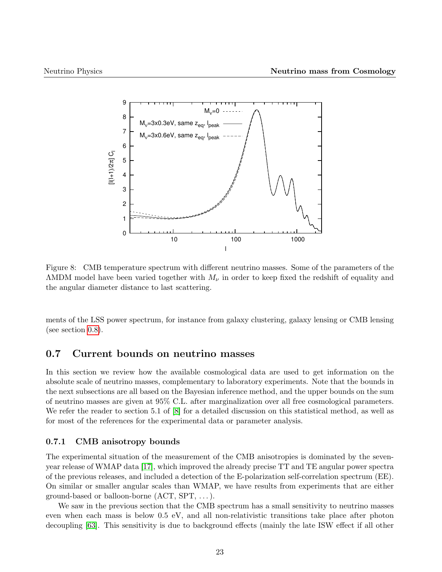

<span id="page-22-1"></span>Figure 8: CMB temperature spectrum with different neutrino masses. Some of the parameters of the  $\Lambda$ MDM model have been varied together with  $M_{\nu}$  in order to keep fixed the redshift of equality and the angular diameter distance to last scattering.

ments of the LSS power spectrum, for instance from galaxy clustering, galaxy lensing or CMB lensing (see section [0.8\)](#page-26-0).

### <span id="page-22-0"></span>0.7 Current bounds on neutrino masses

In this section we review how the available cosmological data are used to get information on the absolute scale of neutrino masses, complementary to laboratory experiments. Note that the bounds in the next subsections are all based on the Bayesian inference method, and the upper bounds on the sum of neutrino masses are given at 95% C.L. after marginalization over all free cosmological parameters. We refer the reader to section 5.1 of  $[8]$  for a detailed discussion on this statistical method, as well as for most of the references for the experimental data or parameter analysis.

#### 0.7.1 CMB anisotropy bounds

The experimental situation of the measurement of the CMB anisotropies is dominated by the sevenyear release of WMAP data [\[17\]](#page-30-1), which improved the already precise TT and TE angular power spectra of the previous releases, and included a detection of the E-polarization self-correlation spectrum (EE). On similar or smaller angular scales than WMAP, we have results from experiments that are either ground-based or balloon-borne  $(ACT, SPT, \ldots)$ .

We saw in the previous section that the CMB spectrum has a small sensitivity to neutrino masses even when each mass is below 0.5 eV, and all non-relativistic transitions take place after photon decoupling [\[63\]](#page-32-13). This sensitivity is due to background effects (mainly the late ISW effect if all other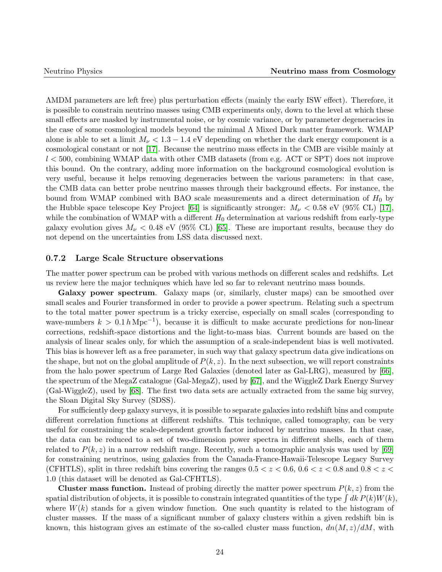ΛMDM parameters are left free) plus perturbation effects (mainly the early ISW effect). Therefore, it is possible to constrain neutrino masses using CMB experiments only, down to the level at which these small effects are masked by instrumental noise, or by cosmic variance, or by parameter degeneracies in the case of some cosmological models beyond the minimal Λ Mixed Dark matter framework. WMAP alone is able to set a limit  $M_{\nu} < 1.3 - 1.4$  eV depending on whether the dark energy component is a cosmological constant or not [\[17\]](#page-30-1). Because the neutrino mass effects in the CMB are visible mainly at  $l < 500$ , combining WMAP data with other CMB datasets (from e.g. ACT or SPT) does not improve this bound. On the contrary, adding more information on the background cosmological evolution is very useful, because it helps removing degeneracies between the various parameters: in that case, the CMB data can better probe neutrino masses through their background effects. For instance, the bound from WMAP combined with BAO scale measurements and a direct determination of  $H_0$  by the Hubble space telescope Key Project [\[64\]](#page-32-14) is significantly stronger:  $M_{\nu} < 0.58$  eV (95% CL) [\[17\]](#page-30-1), while the combination of WMAP with a different  $H_0$  determination at various redshift from early-type galaxy evolution gives  $M_{\nu} < 0.48$  eV (95% CL) [\[65\]](#page-32-15). These are important results, because they do not depend on the uncertainties from LSS data discussed next.

#### <span id="page-23-0"></span>0.7.2 Large Scale Structure observations

The matter power spectrum can be probed with various methods on different scales and redshifts. Let us review here the major techniques which have led so far to relevant neutrino mass bounds.

Galaxy power spectrum. Galaxy maps (or, similarly, cluster maps) can be smoothed over small scales and Fourier transformed in order to provide a power spectrum. Relating such a spectrum to the total matter power spectrum is a tricky exercise, especially on small scales (corresponding to wave-numbers  $k > 0.1 h \text{ Mpc}^{-1}$ , because it is difficult to make accurate predictions for non-linear corrections, redshift-space distortions and the light-to-mass bias. Current bounds are based on the analysis of linear scales only, for which the assumption of a scale-independent bias is well motivated. This bias is however left as a free parameter, in such way that galaxy spectrum data give indications on the shape, but not on the global amplitude of  $P(k, z)$ . In the next subsection, we will report constraints from the halo power spectrum of Large Red Galaxies (denoted later as Gal-LRG), measured by [\[66\]](#page-32-16), the spectrum of the MegaZ catalogue (Gal-MegaZ), used by [\[67\]](#page-33-0), and the WiggleZ Dark Energy Survey (Gal-WiggleZ), used by [\[68\]](#page-33-1). The first two data sets are actually extracted from the same big survey, the Sloan Digital Sky Survey (SDSS).

For sufficiently deep galaxy surveys, it is possible to separate galaxies into redshift bins and compute different correlation functions at different redshifts. This technique, called tomography, can be very useful for constraining the scale-dependent growth factor induced by neutrino masses. In that case, the data can be reduced to a set of two-dimension power spectra in different shells, each of them related to  $P(k, z)$  in a narrow redshift range. Recently, such a tomographic analysis was used by [\[69\]](#page-33-2) for constraining neutrinos, using galaxies from the Canada-France-Hawaii-Telescope Legacy Survey (CFHTLS), split in three redshift bins covering the ranges  $0.5 < z < 0.6, 0.6 < z < 0.8$  and  $0.8 < z <$ 1.0 (this dataset will be denoted as Gal-CFHTLS).

**Cluster mass function.** Instead of probing directly the matter power spectrum  $P(k, z)$  from the spatial distribution of objects, it is possible to constrain integrated quantities of the type  $\int dk P(k)W(k)$ , where  $W(k)$  stands for a given window function. One such quantity is related to the histogram of cluster masses. If the mass of a significant number of galaxy clusters within a given redshift bin is known, this histogram gives an estimate of the so-called cluster mass function,  $dn(M, z)/dM$ , with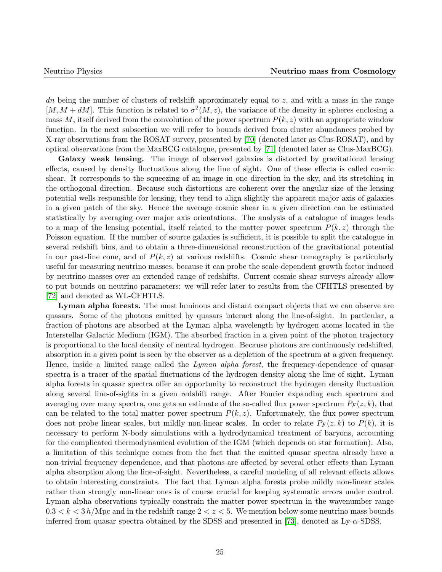dn being the number of clusters of redshift approximately equal to z, and with a mass in the range  $[M, M + dM]$ . This function is related to  $\sigma^2(M, z)$ , the variance of the density in spheres enclosing a mass M, itself derived from the convolution of the power spectrum  $P(k, z)$  with an appropriate window function. In the next subsection we will refer to bounds derived from cluster abundances probed by X-ray observations from the ROSAT survey, presented by [\[70\]](#page-33-3) (denoted later as Clus-ROSAT), and by optical observations from the MaxBCG catalogue, presented by [\[71\]](#page-33-4) (denoted later as Clus-MaxBCG).

Galaxy weak lensing. The image of observed galaxies is distorted by gravitational lensing effects, caused by density fluctuations along the line of sight. One of these effects is called cosmic shear. It corresponds to the squeezing of an image in one direction in the sky, and its stretching in the orthogonal direction. Because such distortions are coherent over the angular size of the lensing potential wells responsible for lensing, they tend to align slightly the apparent major axis of galaxies in a given patch of the sky. Hence the average cosmic shear in a given direction can be estimated statistically by averaging over major axis orientations. The analysis of a catalogue of images leads to a map of the lensing potential, itself related to the matter power spectrum  $P(k, z)$  through the Poisson equation. If the number of source galaxies is sufficient, it is possible to split the catalogue in several redshift bins, and to obtain a three-dimensional reconstruction of the gravitational potential in our past-line cone, and of  $P(k, z)$  at various redshifts. Cosmic shear tomography is particularly useful for measuring neutrino masses, because it can probe the scale-dependent growth factor induced by neutrino masses over an extended range of redshifts. Current cosmic shear surveys already allow to put bounds on neutrino parameters: we will refer later to results from the CFHTLS presented by [\[72\]](#page-33-5) and denoted as WL-CFHTLS.

Lyman alpha forests. The most luminous and distant compact objects that we can observe are quasars. Some of the photons emitted by quasars interact along the line-of-sight. In particular, a fraction of photons are absorbed at the Lyman alpha wavelength by hydrogen atoms located in the Interstellar Galactic Medium (IGM). The absorbed fraction in a given point of the photon trajectory is proportional to the local density of neutral hydrogen. Because photons are continuously redshifted, absorption in a given point is seen by the observer as a depletion of the spectrum at a given frequency. Hence, inside a limited range called the *Lyman alpha forest*, the frequency-dependence of quasar spectra is a tracer of the spatial fluctuations of the hydrogen density along the line of sight. Lyman alpha forests in quasar spectra offer an opportunity to reconstruct the hydrogen density fluctuation along several line-of-sights in a given redshift range. After Fourier expanding each spectrum and averaging over many spectra, one gets an estimate of the so-called flux power spectrum  $P_F(z, k)$ , that can be related to the total matter power spectrum  $P(k, z)$ . Unfortunately, the flux power spectrum does not probe linear scales, but mildly non-linear scales. In order to relate  $P_F(z, k)$  to  $P(k)$ , it is necessary to perform N-body simulations with a hydrodynamical treatment of baryons, accounting for the complicated thermodynamical evolution of the IGM (which depends on star formation). Also, a limitation of this technique comes from the fact that the emitted quasar spectra already have a non-trivial frequency dependence, and that photons are affected by several other effects than Lyman alpha absorption along the line-of-sight. Nevertheless, a careful modeling of all relevant effects allows to obtain interesting constraints. The fact that Lyman alpha forests probe mildly non-linear scales rather than strongly non-linear ones is of course crucial for keeping systematic errors under control. Lyman alpha observations typically constrain the matter power spectrum in the wavenumber range  $0.3 < k < 3 h/Mpc$  and in the redshift range  $2 < z < 5$ . We mention below some neutrino mass bounds inferred from quasar spectra obtained by the SDSS and presented in [\[73\]](#page-33-6), denoted as  $Ly-\alpha$ -SDSS.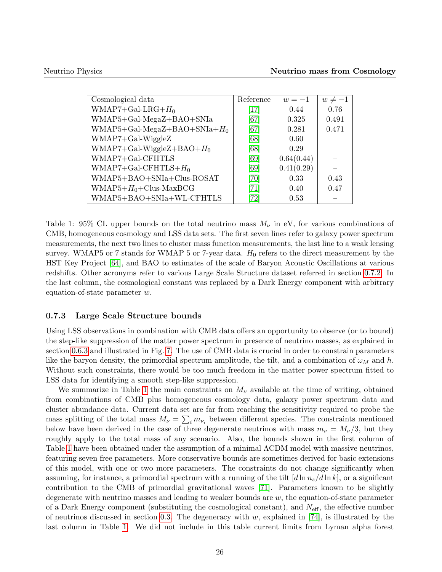| Cosmological data               | Reference                    | $w=-1$     | $w\neq -1$ |
|---------------------------------|------------------------------|------------|------------|
| WMAP7+Gal-LRG+ $H_0$            | $\left\lceil 17\right\rceil$ | 0.44       | 0.76       |
| WMAP5+Gal-MegaZ+BAO+SNIa        | $\left[ 67\right]$           | 0.325      | 0.491      |
| WMAP5+Gal-MegaZ+BAO+SNIa+ $H_0$ | [67]                         | 0.281      | 0.471      |
| WMAP7+Gal-WiggleZ               | [68]                         | 0.60       |            |
| WMAP7+Gal-WiggleZ+BAO+ $H_0$    | [68]                         | 0.29       |            |
| WMAP7+Gal-CFHTLS                | [69]                         | 0.64(0.44) |            |
| WMAP7+Gal-CFHTLS+ $H_0$         | [69]                         | 0.41(0.29) |            |
| WMAP5+BAO+SNIa+Clus-ROSAT       | [70]                         | 0.33       | 0.43       |
| WMAP5+ $H_0$ +Clus-MaxBCG       | 71                           | 0.40       | 0.47       |
| WMAP5+BAO+SNIa+WL-CFHTLS        | 72                           | 0.53       |            |

<span id="page-25-0"></span>Table 1: 95% CL upper bounds on the total neutrino mass  $M_{\nu}$  in eV, for various combinations of CMB, homogeneous cosmology and LSS data sets. The first seven lines refer to galaxy power spectrum measurements, the next two lines to cluster mass function measurements, the last line to a weak lensing survey. WMAP5 or 7 stands for WMAP 5 or 7-year data.  $H_0$  refers to the direct measurement by the HST Key Project [\[64\]](#page-32-14), and BAO to estimates of the scale of Baryon Acoustic Oscillations at various redshifts. Other acronyms refer to various Large Scale Structure dataset referred in section [0.7.2.](#page-23-0) In the last column, the cosmological constant was replaced by a Dark Energy component with arbitrary equation-of-state parameter w.

#### 0.7.3 Large Scale Structure bounds

Using LSS observations in combination with CMB data offers an opportunity to observe (or to bound) the step-like suppression of the matter power spectrum in presence of neutrino masses, as explained in section [0.6.3](#page-17-0) and illustrated in Fig. [7.](#page-19-0) The use of CMB data is crucial in order to constrain parameters like the baryon density, the primordial spectrum amplitude, the tilt, and a combination of  $\omega_M$  and h. Without such constraints, there would be too much freedom in the matter power spectrum fitted to LSS data for identifying a smooth step-like suppression.

We summarize in Table [1](#page-25-0) the main constraints on  $M_{\nu}$  available at the time of writing, obtained from combinations of CMB plus homogeneous cosmology data, galaxy power spectrum data and cluster abundance data. Current data set are far from reaching the sensitivity required to probe the mass splitting of the total mass  $M_{\nu} = \sum_i m_{\nu_i}$  between different species. The constraints mentioned below have been derived in the case of three degenerate neutrinos with mass  $m_{\nu} = M_{\nu}/3$ , but they roughly apply to the total mass of any scenario. Also, the bounds shown in the first column of Table [1](#page-25-0) have been obtained under the assumption of a minimal ΛCDM model with massive neutrinos, featuring seven free parameters. More conservative bounds are sometimes derived for basic extensions of this model, with one or two more parameters. The constraints do not change significantly when assuming, for instance, a primordial spectrum with a running of the tilt  $\left[d\ln n_s/d\ln k\right]$ , or a significant contribution to the CMB of primordial gravitational waves [\[71\]](#page-33-4). Parameters known to be slightly degenerate with neutrino masses and leading to weaker bounds are  $w$ , the equation-of-state parameter of a Dark Energy component (substituting the cosmological constant), and  $N_{\text{eff}}$ , the effective number of neutrinos discussed in section [0.3.](#page-5-2) The degeneracy with w, explained in [\[74\]](#page-33-7), is illustrated by the last column in Table [1.](#page-25-0) We did not include in this table current limits from Lyman alpha forest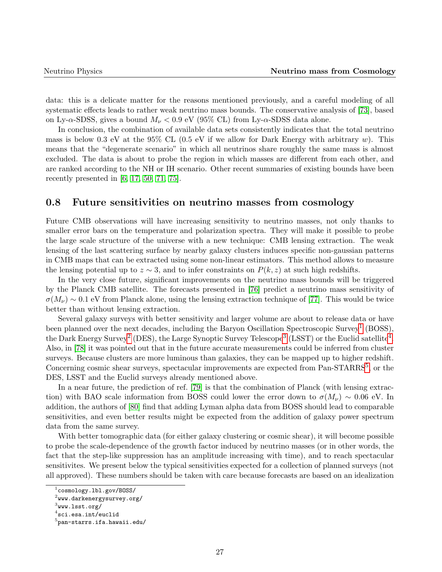data: this is a delicate matter for the reasons mentioned previously, and a careful modeling of all systematic effects leads to rather weak neutrino mass bounds. The conservative analysis of [\[73\]](#page-33-6), based on Ly- $\alpha$ -SDSS, gives a bound  $M_{\nu}$  < 0.9 eV (95% CL) from Ly- $\alpha$ -SDSS data alone.

In conclusion, the combination of available data sets consistently indicates that the total neutrino mass is below 0.3 eV at the 95% CL (0.5 eV if we allow for Dark Energy with arbitrary  $w$ ). This means that the "degenerate scenario" in which all neutrinos share roughly the same mass is almost excluded. The data is about to probe the region in which masses are different from each other, and are ranked according to the NH or IH scenario. Other recent summaries of existing bounds have been recently presented in [\[6,](#page-29-5) [17,](#page-30-1) [50,](#page-32-0) [71,](#page-33-4) [75\]](#page-33-8).

## <span id="page-26-0"></span>0.8 Future sensitivities on neutrino masses from cosmology

Future CMB observations will have increasing sensitivity to neutrino masses, not only thanks to smaller error bars on the temperature and polarization spectra. They will make it possible to probe the large scale structure of the universe with a new technique: CMB lensing extraction. The weak lensing of the last scattering surface by nearby galaxy clusters induces specific non-gaussian patterns in CMB maps that can be extracted using some non-linear estimators. This method allows to measure the lensing potential up to  $z \sim 3$ , and to infer constraints on  $P(k, z)$  at such high redshifts.

In the very close future, significant improvements on the neutrino mass bounds will be triggered by the Planck CMB satellite. The forecasts presented in [\[76\]](#page-33-9) predict a neutrino mass sensitivity of  $\sigma(M_{\nu}) \sim 0.1$  eV from Planck alone, using the lensing extraction technique of [\[77\]](#page-33-10). This would be twice better than without lensing extraction.

Several galaxy surveys with better sensitivity and larger volume are about to release data or have been planned over the next decades, including the Baryon Oscillation Spectroscopic Survey<sup>[1](#page-26-1)</sup> (BOSS), the Dark Energy Survey<sup>[2](#page-26-2)</sup> (DES), the Large Synoptic Survey Telescope<sup>[3](#page-26-3)</sup> (LSST) or the Euclid satellite<sup>[4](#page-26-4)</sup>. Also, in [\[78\]](#page-33-11) it was pointed out that in the future accurate measurements could be inferred from cluster surveys. Because clusters are more luminous than galaxies, they can be mapped up to higher redshift. Concerning cosmic shear surveys, spectacular improvements are expected from Pan-STARRS<sup>[5](#page-26-5)</sup>, or the DES, LSST and the Euclid surveys already mentioned above.

In a near future, the prediction of ref. [\[79\]](#page-33-12) is that the combination of Planck (with lensing extraction) with BAO scale information from BOSS could lower the error down to  $\sigma(M_{\nu}) \sim 0.06$  eV. In addition, the authors of [\[80\]](#page-33-13) find that adding Lyman alpha data from BOSS should lead to comparable sensitivities, and even better results might be expected from the addition of galaxy power spectrum data from the same survey.

With better tomographic data (for either galaxy clustering or cosmic shear), it will become possible to probe the scale-dependence of the growth factor induced by neutrino masses (or in other words, the fact that the step-like suppression has an amplitude increasing with time), and to reach spectacular sensitivites. We present below the typical sensitivities expected for a collection of planned surveys (not all approved). These numbers should be taken with care because forecasts are based on an idealization

<span id="page-26-1"></span> $^{1}$ cosmology.lbl.gov/BOSS/

<span id="page-26-2"></span> $^{2}$ www.darkenergysurvey.org/

<span id="page-26-3"></span> $^3$ www.lsst.org/

<span id="page-26-4"></span> $^4$ sci.esa.int/euclid

<span id="page-26-5"></span> $^5$ pan-starrs.ifa.hawaii.edu/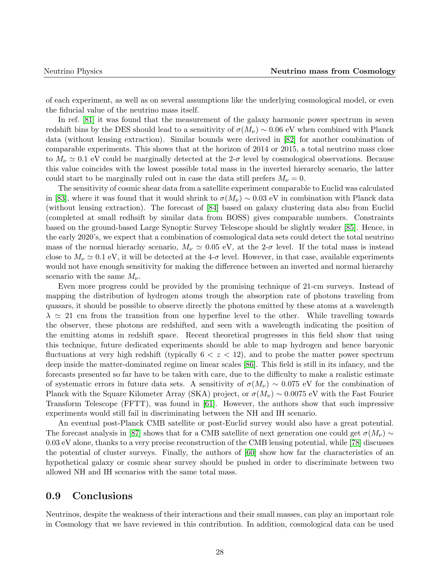of each experiment, as well as on several assumptions like the underlying cosmological model, or even the fiducial value of the neutrino mass itself.

In ref. [\[81\]](#page-33-14) it was found that the measurement of the galaxy harmonic power spectrum in seven redshift bins by the DES should lead to a sensitivity of  $\sigma(M_{\nu}) \sim 0.06$  eV when combined with Planck data (without lensing extraction). Similar bounds were derived in [\[82\]](#page-33-15) for another combination of comparable experiments. This shows that at the horizon of 2014 or 2015, a total neutrino mass close to  $M_{\nu} \simeq 0.1$  eV could be marginally detected at the 2- $\sigma$  level by cosmological observations. Because this value coincides with the lowest possible total mass in the inverted hierarchy scenario, the latter could start to be marginally ruled out in case the data still prefers  $M_{\nu} = 0$ .

The sensitivity of cosmic shear data from a satellite experiment comparable to Euclid was calculated in [\[83\]](#page-33-16), where it was found that it would shrink to  $\sigma(M_{\nu}) \sim 0.03$  eV in combination with Planck data (without lensing extraction). The forecast of [\[84\]](#page-34-0) based on galaxy clustering data also from Euclid (completed at small redhsift by similar data from BOSS) gives comparable numbers. Constraints based on the ground-based Large Synoptic Survey Telescope should be slightly weaker [\[85\]](#page-34-1). Hence, in the early 2020's, we expect that a combination of cosmological data sets could detect the total neutrino mass of the normal hierachy scenario,  $M_{\nu} \simeq 0.05$  eV, at the 2- $\sigma$  level. If the total mass is instead close to  $M_{\nu} \simeq 0.1$  eV, it will be detected at the 4- $\sigma$  level. However, in that case, available experiments would not have enough sensitivity for making the difference between an inverted and normal hierarchy scenario with the same  $M_{\nu}$ .

Even more progress could be provided by the promising technique of 21-cm surveys. Instead of mapping the distribution of hydrogen atoms trough the absorption rate of photons traveling from quasars, it should be possible to observe directly the photons emitted by these atoms at a wavelength  $\lambda \simeq 21$  cm from the transition from one hyperfine level to the other. While travelling towards the observer, these photons are redshifted, and seen with a wavelength indicating the position of the emitting atoms in redshift space. Recent theoretical progresses in this field show that using this technique, future dedicated experiments should be able to map hydrogen and hence baryonic fluctuations at very high redshift (typically  $6 < z < 12$ ), and to probe the matter power spectrum deep inside the matter-dominated regime on linear scales [\[86\]](#page-34-2). This field is still in its infancy, and the forecasts presented so far have to be taken with care, due to the difficulty to make a realistic estimate of systematic errors in future data sets. A sensitivity of  $\sigma(M_{\nu}) \sim 0.075$  eV for the combination of Planck with the Square Kilometer Array (SKA) project, or  $\sigma(M_{\nu}) \sim 0.0075$  eV with the Fast Fourier Transform Telescope (FFTT), was found in [\[61\]](#page-32-11). However, the authors show that such impressive experiments would still fail in discriminating between the NH and IH scenario.

An eventual post-Planck CMB satellite or post-Euclid survey would also have a great potential. The forecast analysis in [\[87\]](#page-34-3) shows that for a CMB satellite of next generation one could get  $\sigma(M_{\nu}) \sim$ 0.03 eV alone, thanks to a very precise reconstruction of the CMB lensing potential, while [\[78\]](#page-33-11) discusses the potential of cluster surveys. Finally, the authors of [\[60\]](#page-32-10) show how far the characteristics of an hypothetical galaxy or cosmic shear survey should be pushed in order to discriminate between two allowed NH and IH scenarios with the same total mass.

## 0.9 Conclusions

Neutrinos, despite the weakness of their interactions and their small masses, can play an important role in Cosmology that we have reviewed in this contribution. In addition, cosmological data can be used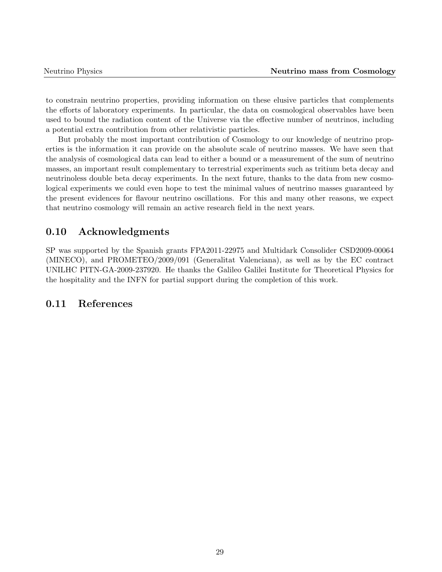to constrain neutrino properties, providing information on these elusive particles that complements the efforts of laboratory experiments. In particular, the data on cosmological observables have been used to bound the radiation content of the Universe via the effective number of neutrinos, including a potential extra contribution from other relativistic particles.

But probably the most important contribution of Cosmology to our knowledge of neutrino properties is the information it can provide on the absolute scale of neutrino masses. We have seen that the analysis of cosmological data can lead to either a bound or a measurement of the sum of neutrino masses, an important result complementary to terrestrial experiments such as tritium beta decay and neutrinoless double beta decay experiments. In the next future, thanks to the data from new cosmological experiments we could even hope to test the minimal values of neutrino masses guaranteed by the present evidences for flavour neutrino oscillations. For this and many other reasons, we expect that neutrino cosmology will remain an active research field in the next years.

## 0.10 Acknowledgments

SP was supported by the Spanish grants FPA2011-22975 and Multidark Consolider CSD2009-00064 (MINECO), and PROMETEO/2009/091 (Generalitat Valenciana), as well as by the EC contract UNILHC PITN-GA-2009-237920. He thanks the Galileo Galilei Institute for Theoretical Physics for the hospitality and the INFN for partial support during the completion of this work.

## 0.11 References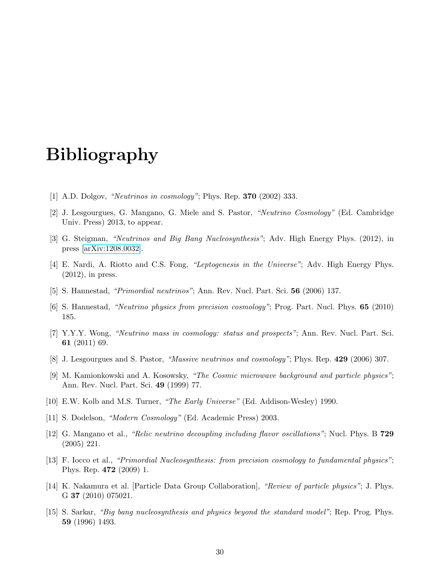# Bibliography

- <span id="page-29-0"></span>[1] A.D. Dolgov, "Neutrinos in cosmology"; Phys. Rep. 370 (2002) 333.
- <span id="page-29-1"></span>[2] J. Lesgourgues, G. Mangano, G. Miele and S. Pastor, "Neutrino Cosmology" (Ed. Cambridge Univ. Press) 2013, to appear.
- <span id="page-29-2"></span>[3] G. Steigman, "Neutrinos and Big Bang Nucleosynthesis"; Adv. High Energy Phys. (2012), in press [\[arXiv:1208.0032\]](http://arxiv.org/abs/1208.0032).
- <span id="page-29-3"></span>[4] E. Nardi, A. Riotto and C.S. Fong, "Leptogenesis in the Universe"; Adv. High Energy Phys. (2012), in press.
- <span id="page-29-4"></span>[5] S. Hannestad, "Primordial neutrinos"; Ann. Rev. Nucl. Part. Sci. 56 (2006) 137.
- <span id="page-29-5"></span>[6] S. Hannestad, "Neutrino physics from precision cosmology"; Prog. Part. Nucl. Phys. 65 (2010) 185.
- <span id="page-29-6"></span>[7] Y.Y.Y. Wong, "Neutrino mass in cosmology: status and prospects"; Ann. Rev. Nucl. Part. Sci. 61 (2011) 69.
- <span id="page-29-7"></span>[8] J. Lesgourgues and S. Pastor, "Massive neutrinos and cosmology"; Phys. Rep. 429 (2006) 307.
- <span id="page-29-8"></span>[9] M. Kamionkowski and A. Kosowsky, "The Cosmic microwave background and particle physics"; Ann. Rev. Nucl. Part. Sci. 49 (1999) 77.
- <span id="page-29-9"></span>[10] E.W. Kolb and M.S. Turner, "The Early Universe" (Ed. Addison-Wesley) 1990.
- <span id="page-29-10"></span>[11] S. Dodelson, "Modern Cosmology" (Ed. Academic Press) 2003.
- <span id="page-29-11"></span>[12] G. Mangano et al., "Relic neutrino decoupling including flavor oscillations"; Nucl. Phys. B 729 (2005) 221.
- <span id="page-29-12"></span>[13] F. Iocco et al., "Primordial Nucleosynthesis: from precision cosmology to fundamental physics"; Phys. Rep. 472 (2009) 1.
- <span id="page-29-13"></span>[14] K. Nakamura et al. [Particle Data Group Collaboration], "Review of particle physics"; J. Phys. G 37 (2010) 075021.
- <span id="page-29-14"></span>[15] S. Sarkar, "Big bang nucleosynthesis and physics beyond the standard model"; Rep. Prog. Phys. 59 (1996) 1493.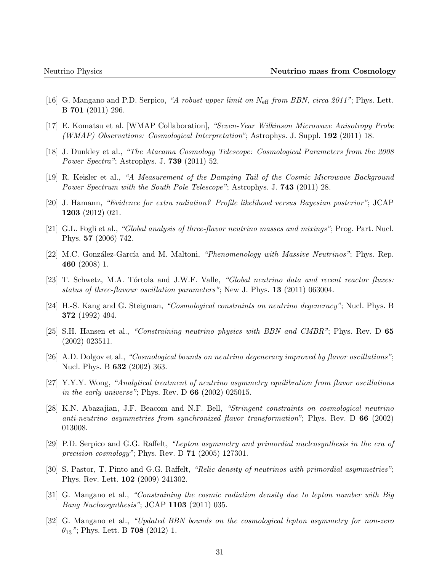- <span id="page-30-0"></span>[16] G. Mangano and P.D. Serpico, "A robust upper limit on  $N_{\text{eff}}$  from BBN, circa 2011"; Phys. Lett. B 701 (2011) 296.
- <span id="page-30-1"></span>[17] E. Komatsu et al. [WMAP Collaboration], "Seven-Year Wilkinson Microwave Anisotropy Probe (WMAP) Observations: Cosmological Interpretation"; Astrophys. J. Suppl. 192 (2011) 18.
- <span id="page-30-2"></span>[18] J. Dunkley et al., "The Atacama Cosmology Telescope: Cosmological Parameters from the 2008 Power Spectra"; Astrophys. J. 739 (2011) 52.
- <span id="page-30-3"></span>[19] R. Keisler et al., "A Measurement of the Damping Tail of the Cosmic Microwave Background Power Spectrum with the South Pole Telescope"; Astrophys. J. 743 (2011) 28.
- <span id="page-30-4"></span>[20] J. Hamann, "Evidence for extra radiation? Profile likelihood versus Bayesian posterior"; JCAP 1203 (2012) 021.
- <span id="page-30-5"></span>[21] G.L. Fogli et al., "Global analysis of three-flavor neutrino masses and mixings"; Prog. Part. Nucl. Phys. 57 (2006) 742.
- <span id="page-30-6"></span>[22] M.C. González-García and M. Maltoni, "Phenomenology with Massive Neutrinos"; Phys. Rep. 460 (2008) 1.
- <span id="page-30-7"></span>[23] T. Schwetz, M.A. Tórtola and J.W.F. Valle, "Global neutrino data and recent reactor fluxes: status of three-flavour oscillation parameters"; New J. Phys. 13 (2011) 063004.
- <span id="page-30-8"></span>[24] H.-S. Kang and G. Steigman, "Cosmological constraints on neutrino degeneracy"; Nucl. Phys. B 372 (1992) 494.
- <span id="page-30-9"></span>[25] S.H. Hansen et al., "Constraining neutrino physics with BBN and CMBR"; Phys. Rev. D 65 (2002) 023511.
- <span id="page-30-10"></span>[26] A.D. Dolgov et al., "Cosmological bounds on neutrino degeneracy improved by flavor oscillations"; Nucl. Phys. B 632 (2002) 363.
- <span id="page-30-11"></span>[27] Y.Y.Y. Wong, "Analytical treatment of neutrino asymmetry equilibration from flavor oscillations in the early universe"; Phys. Rev. D 66 (2002) 025015.
- <span id="page-30-12"></span>[28] K.N. Abazajian, J.F. Beacom and N.F. Bell, "Stringent constraints on cosmological neutrino anti-neutrino asymmetries from synchronized flavor transformation"; Phys. Rev. D 66 (2002) 013008.
- <span id="page-30-13"></span>[29] P.D. Serpico and G.G. Raffelt, "Lepton asymmetry and primordial nucleosynthesis in the era of precision cosmology"; Phys. Rev. D 71 (2005) 127301.
- <span id="page-30-14"></span>[30] S. Pastor, T. Pinto and G.G. Raffelt, "Relic density of neutrinos with primordial asymmetries"; Phys. Rev. Lett. 102 (2009) 241302.
- <span id="page-30-15"></span>[31] G. Mangano et al., "Constraining the cosmic radiation density due to lepton number with Big *Bang Nucleosynthesis*"; JCAP  $1103$  (2011) 035.
- <span id="page-30-16"></span>[32] G. Mangano et al., "Updated BBN bounds on the cosmological lepton asymmetry for non-zero  $\theta_{13}$ "; Phys. Lett. B **708** (2012) 1.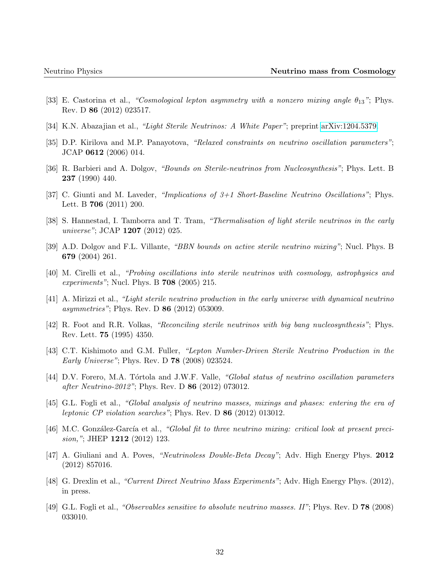- <span id="page-31-0"></span>[33] E. Castorina et al., "Cosmological lepton asymmetry with a nonzero mixing angle  $\theta_{13}$ "; Phys. Rev. D 86 (2012) 023517.
- <span id="page-31-1"></span>[34] K.N. Abazajian et al., "Light Sterile Neutrinos: A White Paper"; preprint [arXiv:1204.5379.](http://arxiv.org/abs/1204.5379)
- <span id="page-31-2"></span>[35] D.P. Kirilova and M.P. Panayotova, "Relaxed constraints on neutrino oscillation parameters"; JCAP 0612 (2006) 014.
- <span id="page-31-3"></span>[36] R. Barbieri and A. Dolgov, "Bounds on Sterile-neutrinos from Nucleosynthesis"; Phys. Lett. B 237 (1990) 440.
- <span id="page-31-4"></span>[37] C. Giunti and M. Laveder, "Implications of 3+1 Short-Baseline Neutrino Oscillations"; Phys. Lett. B 706 (2011) 200.
- <span id="page-31-5"></span>[38] S. Hannestad, I. Tamborra and T. Tram, "Thermalisation of light sterile neutrinos in the early universe"; JCAP **1207** (2012) 025.
- <span id="page-31-6"></span>[39] A.D. Dolgov and F.L. Villante, "BBN bounds on active sterile neutrino mixing"; Nucl. Phys. B 679 (2004) 261.
- <span id="page-31-7"></span>[40] M. Cirelli et al., "Probing oscillations into sterile neutrinos with cosmology, astrophysics and experiments"; Nucl. Phys. B **708** (2005) 215.
- <span id="page-31-8"></span>[41] A. Mirizzi et al., "Light sterile neutrino production in the early universe with dynamical neutrino asymmetries"; Phys. Rev. D 86 (2012) 053009.
- <span id="page-31-9"></span>[42] R. Foot and R.R. Volkas, "Reconciling sterile neutrinos with big bang nucleosynthesis"; Phys. Rev. Lett. 75 (1995) 4350.
- <span id="page-31-10"></span>[43] C.T. Kishimoto and G.M. Fuller, "Lepton Number-Driven Sterile Neutrino Production in the Early Universe"; Phys. Rev. D 78 (2008) 023524.
- <span id="page-31-11"></span>[44] D.V. Forero, M.A. Tórtola and J.W.F. Valle, "Global status of neutrino oscillation parameters" after Neutrino-2012"; Phys. Rev. D 86 (2012) 073012.
- <span id="page-31-12"></span>[45] G.L. Fogli et al., "Global analysis of neutrino masses, mixings and phases: entering the era of leptonic CP violation searches"; Phys. Rev. D 86 (2012) 013012.
- <span id="page-31-13"></span>[46] M.C. González-García et al., "Global fit to three neutrino mixing: critical look at present precision,"; JHEP 1212 (2012) 123.
- <span id="page-31-14"></span>[47] A. Giuliani and A. Poves, "Neutrinoless Double-Beta Decay"; Adv. High Energy Phys. 2012 (2012) 857016.
- <span id="page-31-15"></span>[48] G. Drexlin et al., "Current Direct Neutrino Mass Experiments"; Adv. High Energy Phys. (2012), in press.
- <span id="page-31-16"></span>[49] G.L. Fogli et al., "Observables sensitive to absolute neutrino masses. II"; Phys. Rev. D 78 (2008) 033010.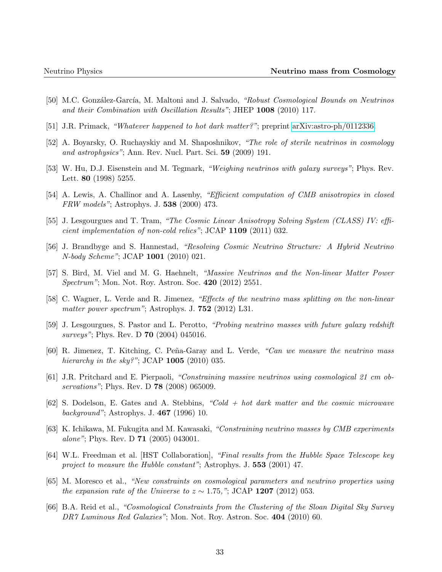- <span id="page-32-0"></span>[50] M.C. González-García, M. Maltoni and J. Salvado, "Robust Cosmological Bounds on Neutrinos and their Combination with Oscillation Results"; JHEP 1008 (2010) 117.
- <span id="page-32-1"></span>[51] J.R. Primack, "Whatever happened to hot dark matter?"; preprint [arXiv:astro-ph/0112336.](http://arxiv.org/abs/astro-ph/0112336)
- <span id="page-32-2"></span>[52] A. Boyarsky, O. Ruchayskiy and M. Shaposhnikov, "The role of sterile neutrinos in cosmology and astrophysics"; Ann. Rev. Nucl. Part. Sci. 59 (2009) 191.
- <span id="page-32-3"></span>[53] W. Hu, D.J. Eisenstein and M. Tegmark, "Weighing neutrinos with galaxy surveys"; Phys. Rev. Lett. 80 (1998) 5255.
- <span id="page-32-4"></span>[54] A. Lewis, A. Challinor and A. Lasenby, "Efficient computation of CMB anisotropies in closed FRW models"; Astrophys. J. 538 (2000) 473.
- <span id="page-32-5"></span>[55] J. Lesgourgues and T. Tram, "The Cosmic Linear Anisotropy Solving System (CLASS) IV: efficient implementation of non-cold relics"; JCAP 1109 (2011) 032.
- <span id="page-32-6"></span>[56] J. Brandbyge and S. Hannestad, "Resolving Cosmic Neutrino Structure: A Hybrid Neutrino N-body Scheme"; JCAP 1001 (2010) 021.
- <span id="page-32-7"></span>[57] S. Bird, M. Viel and M. G. Haehnelt, "Massive Neutrinos and the Non-linear Matter Power Spectrum"; Mon. Not. Roy. Astron. Soc. 420 (2012) 2551.
- <span id="page-32-8"></span>[58] C. Wagner, L. Verde and R. Jimenez, "Effects of the neutrino mass splitting on the non-linear matter power spectrum"; Astrophys. J. **752** (2012) L31.
- <span id="page-32-9"></span>[59] J. Lesgourgues, S. Pastor and L. Perotto, "Probing neutrino masses with future galaxy redshift surveys"; Phys. Rev. D **70** (2004) 045016.
- <span id="page-32-10"></span>[60] R. Jimenez, T. Kitching, C. Peña-Garay and L. Verde, "Can we measure the neutrino mass hierarchy in the sky?"; JCAP  $1005$  (2010) 035.
- <span id="page-32-11"></span>[61] J.R. Pritchard and E. Pierpaoli, "Constraining massive neutrinos using cosmological 21 cm observations"; Phys. Rev. D **78** (2008) 065009.
- <span id="page-32-12"></span>[62] S. Dodelson, E. Gates and A. Stebbins, "Cold + hot dark matter and the cosmic microwave background"; Astrophys. J. 467 (1996) 10.
- <span id="page-32-13"></span>[63] K. Ichikawa, M. Fukugita and M. Kawasaki, "Constraining neutrino masses by CMB experiments alone"; Phys. Rev. D 71 (2005) 043001.
- <span id="page-32-14"></span>[64] W.L. Freedman et al. [HST Collaboration], "Final results from the Hubble Space Telescope key project to measure the Hubble constant"; Astrophys. J. 553 (2001) 47.
- <span id="page-32-15"></span>[65] M. Moresco et al., "New constraints on cosmological parameters and neutrino properties using the expansion rate of the Universe to  $z \sim 1.75$ ,"; JCAP 1207 (2012) 053.
- <span id="page-32-16"></span>[66] B.A. Reid et al., "Cosmological Constraints from the Clustering of the Sloan Digital Sky Survey DR7 Luminous Red Galaxies"; Mon. Not. Roy. Astron. Soc. 404 (2010) 60.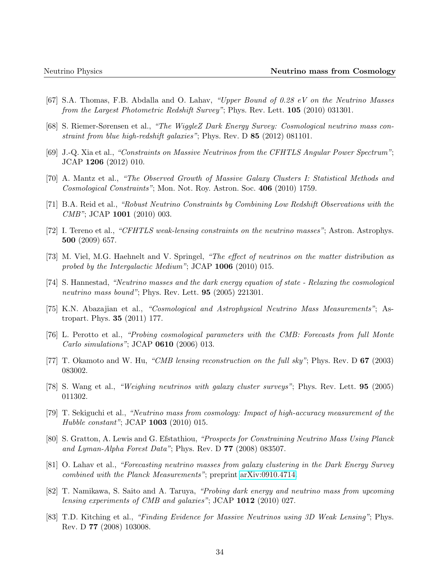- <span id="page-33-0"></span>[67] S.A. Thomas, F.B. Abdalla and O. Lahav, "Upper Bound of 0.28 eV on the Neutrino Masses from the Largest Photometric Redshift Survey"; Phys. Rev. Lett. 105 (2010) 031301.
- <span id="page-33-1"></span>[68] S. Riemer-Sørensen et al., "The WiggleZ Dark Energy Survey: Cosmological neutrino mass constraint from blue high-redshift galaxies"; Phys. Rev. D 85 (2012) 081101.
- <span id="page-33-2"></span>[69] J.-Q. Xia et al., "Constraints on Massive Neutrinos from the CFHTLS Angular Power Spectrum"; JCAP 1206 (2012) 010.
- <span id="page-33-3"></span>[70] A. Mantz et al., "The Observed Growth of Massive Galaxy Clusters I: Statistical Methods and Cosmological Constraints"; Mon. Not. Roy. Astron. Soc. 406 (2010) 1759.
- <span id="page-33-4"></span>[71] B.A. Reid et al., "Robust Neutrino Constraints by Combining Low Redshift Observations with the CMB"; JCAP 1001 (2010) 003.
- <span id="page-33-5"></span>[72] I. Tereno et al., "CFHTLS weak-lensing constraints on the neutrino masses"; Astron. Astrophys. 500 (2009) 657.
- <span id="page-33-6"></span>[73] M. Viel, M.G. Haehnelt and V. Springel, "The effect of neutrinos on the matter distribution as probed by the Intergalactic Medium"; JCAP 1006 (2010) 015.
- <span id="page-33-7"></span>[74] S. Hannestad, "Neutrino masses and the dark energy equation of state - Relaxing the cosmological neutrino mass bound"; Phys. Rev. Lett. **95** (2005) 221301.
- <span id="page-33-8"></span>[75] K.N. Abazajian et al., "Cosmological and Astrophysical Neutrino Mass Measurements"; Astropart. Phys. 35 (2011) 177.
- <span id="page-33-9"></span>[76] L. Perotto et al., "Probing cosmological parameters with the CMB: Forecasts from full Monte Carlo simulations"; JCAP 0610 (2006) 013.
- <span id="page-33-10"></span>[77] T. Okamoto and W. Hu, "CMB lensing reconstruction on the full sky"; Phys. Rev. D 67 (2003) 083002.
- <span id="page-33-11"></span>[78] S. Wang et al., "Weighing neutrinos with galaxy cluster surveys"; Phys. Rev. Lett. 95 (2005) 011302.
- <span id="page-33-12"></span>[79] T. Sekiguchi et al., "Neutrino mass from cosmology: Impact of high-accuracy measurement of the Hubble constant"; JCAP 1003 (2010) 015.
- <span id="page-33-13"></span>[80] S. Gratton, A. Lewis and G. Efstathiou, "Prospects for Constraining Neutrino Mass Using Planck and Lyman-Alpha Forest Data"; Phys. Rev. D 77 (2008) 083507.
- <span id="page-33-14"></span>[81] O. Lahav et al., "Forecasting neutrino masses from galaxy clustering in the Dark Energy Survey combined with the Planck Measurements"; preprint [arXiv:0910.4714.](http://arxiv.org/abs/0910.4714)
- <span id="page-33-15"></span>[82] T. Namikawa, S. Saito and A. Taruya, "Probing dark energy and neutrino mass from upcoming lensing experiments of CMB and galaxies"; JCAP 1012 (2010) 027.
- <span id="page-33-16"></span>[83] T.D. Kitching et al., "Finding Evidence for Massive Neutrinos using 3D Weak Lensing"; Phys. Rev. D 77 (2008) 103008.